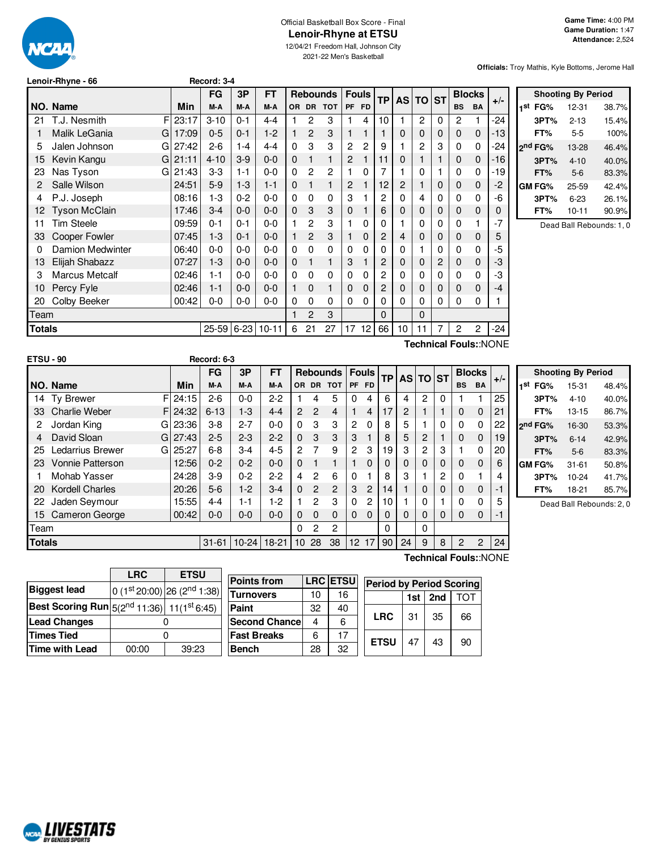

### Official Basketball Box Score - Final **Lenoir-Rhyne at ETSU**

12/04/21 Freedom Hall, Johnson City 2021-22 Men's Basketball

**Officials:** Troy Mathis, Kyle Bottoms, Jerome Hall

|     | Lenoir-Rhyne - 66     |       | Record: 3-4 |         |           |           |                |                 |                |              |              |                |          |   |           |               |       |
|-----|-----------------------|-------|-------------|---------|-----------|-----------|----------------|-----------------|----------------|--------------|--------------|----------------|----------|---|-----------|---------------|-------|
|     |                       |       | FG          | 3P      | <b>FT</b> |           |                | <b>Rebounds</b> |                | <b>Fouls</b> | <b>TP</b>    | <b>AS</b>      | TO ST    |   |           | <b>Blocks</b> | $+/-$ |
|     | NO. Name              | Min   | M-A         | M-A     | M-A       | <b>OR</b> | <b>DR</b>      | <b>TOT</b>      | <b>PF</b>      | <b>FD</b>    |              |                |          |   | <b>BS</b> | <b>BA</b>     |       |
| 21  | T.J. Nesmith<br>F     | 23:17 | $3 - 10$    | $0 - 1$ | $4 - 4$   |           | 2              | 3               |                | 4            | 10           |                | 2        | 0 | 2         | 1             | -24   |
|     | Malik LeGania<br>G    | 17:09 | $0 - 5$     | $0 - 1$ | $1 - 2$   |           | 2              | 3               | 1              |              |              | $\Omega$       | $\Omega$ | 0 | 0         | $\mathbf 0$   | $-13$ |
| 5   | Jalen Johnson<br>G    | 27:42 | $2-6$       | 1-4     | $4 - 4$   | 0         | 3              | 3               | 2              | 2            | 9            |                | 2        | 3 | 0         | 0             | -24   |
| 15  | Kevin Kangu<br>G      | 21:11 | $4 - 10$    | $3-9$   | $0 - 0$   | 0         |                | 1               | $\overline{c}$ |              | 11           | $\Omega$       |          |   | 0         | $\mathbf 0$   | $-16$ |
| 23  | Nas Tyson<br>G        | 21:43 | $3-3$       | 1-1     | $0 - 0$   | $\Omega$  | 2              | 2               | 1              | 0            |              |                | 0        |   | 0         | 0             | $-19$ |
|     | Salle Wilson          | 24:51 | $5-9$       | $1-3$   | $1 - 1$   | 0         | 1              | 1               | 2              |              | 12           | $\overline{2}$ |          | 0 | 0         | $\mathbf 0$   | -2    |
| 4   | P.J. Joseph           | 08:16 | $1-3$       | $0 - 2$ | $0 - 0$   | $\Omega$  | $\Omega$       | $\Omega$        | 3              |              | $\mathbf{2}$ | 0              | 4        | 0 | 0         | 0             | -6    |
| 12. | <b>Tyson McClain</b>  | 17:46 | $3 - 4$     | $0 - 0$ | 0-0       | 0         | 3              | 3               | 0              |              | 6            | 0              | 0        | 0 | 0         | $\mathbf 0$   | O     |
| 11  | Tim Steele            | 09:59 | $0 - 1$     | $0 - 1$ | $0 - 0$   |           | 2              | 3               |                | 0            | $\Omega$     |                | 0        | 0 | 0         | 1             | -7    |
| 33  | Cooper Fowler         | 07:45 | $1-3$       | $0 - 1$ | $0 - 0$   |           | $\overline{2}$ | 3               | 1              | $\Omega$     | 2            | 4              | $\Omega$ | 0 | 0         | $\mathbf 0$   | 5     |
| 0   | Damion Medwinter      | 06:40 | $0 - 0$     | $0 - 0$ | $0 - 0$   | $\Omega$  | $\Omega$       | $\Omega$        | $\Omega$       | 0            | 0            | 0              |          | 0 | 0         | 0             | -5    |
| 13  | Elijah Shabazz        | 07:27 | $1-3$       | $0-0$   | 0-0       | $\Omega$  | 1              | 1               | 3              |              | 2            | $\Omega$       | $\Omega$ | 2 | 0         | $\mathbf 0$   | -3    |
| 3   | <b>Marcus Metcalf</b> | 02:46 | 1-1         | $0-0$   | $0 - 0$   | 0         | $\Omega$       | $\Omega$        | $\Omega$       | 0            | 2            | $\Omega$       | 0        | 0 | 0         | 0             | -3    |
| 10  | Percy Fyle            | 02:46 | $1 - 1$     | $0-0$   | $0 - 0$   |           | 0              |                 | 0              | 0            | 2            | $\Omega$       | $\Omega$ | 0 | 0         | $\mathbf 0$   | -4    |
| 20  | Colby Beeker          | 00:42 | $0-0$       | $0-0$   | $0 - 0$   | 0         | 0              | 0               | 0              | 0            | 0            | $\Omega$       | 0        | 0 | 0         | 0             |       |

Team 1 2 3 0 0

**Shooting By Period 1 st FG%** 12-31 38.7% **3PT%** 2-13 15.4% **FT%** 5-5 100% **2 nd FG%** 13-28 46.4% **3PT%** 4-10 40.0% **FT%** 5-6 83.3% **GM FG%** 25-59 42.4% **3PT%** 6-23 26.1% **FT%** 10-11 90.9%

Dead Ball Rebounds: 1, 0

| <b>ETSU - 90</b> |                        |             | Record: 6-3 |         |             |                |                |                 |              |                |                 |                |          |          |           |               |       |  |
|------------------|------------------------|-------------|-------------|---------|-------------|----------------|----------------|-----------------|--------------|----------------|-----------------|----------------|----------|----------|-----------|---------------|-------|--|
|                  |                        |             | FG          | 3P      | <b>FT</b>   |                |                | <b>Rebounds</b> | <b>Fouls</b> |                | <b>TP</b>       |                | AS TO ST |          |           | <b>Blocks</b> |       |  |
|                  | NO. Name               | Min         | M-A         | M-A     | M-A         | OR.            | <b>DR</b>      | <b>TOT</b>      | <b>PF</b>    | <b>FD</b>      |                 |                |          |          | <b>BS</b> | <b>BA</b>     | $+/-$ |  |
| 14               | <b>Ty Brewer</b>       | FI<br>24:15 | $2-6$       | $0 - 0$ | $2-2$       |                | 4              | 5               | 0            | 4              | 6               | 4              | 2        | $\Omega$ |           |               | 25    |  |
| 33               | <b>Charlie Weber</b>   | 24:32<br>F. | $6 - 13$    | $1 - 3$ | $4 - 4$     | $\overline{2}$ | $\mathfrak{p}$ | 4               |              | 4              | 17              | $\overline{c}$ |          |          | 0         | $\mathbf 0$   | 21    |  |
| 2                | Jordan King<br>GI      | 23:36       | $3-8$       | $2 - 7$ | $0 - 0$     | $\Omega$       | 3              | 3               | 2            | $\Omega$       | 8               | 5              |          | $\Omega$ | 0         | 0             | 22    |  |
| 4                | David Sloan            | GI 27:43    | $2 - 5$     | $2 - 3$ | $2 - 2$     | $\Omega$       | 3              | 3               | 3            |                | 8               | 5              | 2        |          | $\Omega$  | 0             | 19    |  |
| 25               | Ledarrius Brewer<br>GI | 25:27       | $6 - 8$     | $3 - 4$ | $4 - 5$     | 2              | 7              | 9               | 2            | 3              | 19              | 3              | 2        | 3        |           | 0             | 20    |  |
| 23               | Vonnie Patterson       | 12:56       | $0 - 2$     | $0 - 2$ | $0 - 0$     | $\Omega$       |                |                 |              | $\Omega$       | 0               | $\Omega$       | 0        | 0        | $\Omega$  | 0             | 6     |  |
|                  | Mohab Yasser           | 24:28       | $3-9$       | $0 - 2$ | $2-2$       | 4              | $\overline{c}$ | 6               | 0            |                | 8               | 3              |          | 2        | $\Omega$  |               | 4     |  |
| 20               | <b>Kordell Charles</b> | 20:26       | $5-6$       | $1-2$   | $3-4$       | $\Omega$       | 2              | $\overline{2}$  | 3            | $\overline{2}$ | 14              |                | 0        | 0        | 0         | 0             | -1    |  |
| 22               | Jaden Seymour          | 15:55       | $4 - 4$     | $1 - 1$ | $1-2$       |                | 2              | 3               | 0            | 2              | 10              |                | 0        |          | 0         | 0             | 5     |  |
| 15               | Cameron George         | 00:42       | $0 - 0$     | $0 - 0$ | $0 - 0$     | $\Omega$       | $\Omega$       | 0               | $\Omega$     | $\Omega$       | 0               | $\Omega$       | 0        | 0        | 0         | 0             | -1    |  |
| Team             |                        |             |             |         |             | 0              | 2              | 2               |              |                | 0               |                | 0        |          |           |               |       |  |
| <b>Totals</b>    |                        |             | $31 - 61$   |         | 10-24 18-21 | 10             | 28             | 38              | 12           | $\overline{7}$ | 90 <sub>1</sub> | 24             | 9        | 8        | 2         | 2             | 24    |  |

**Totals** 25-59 6-23 10-11 6 21 27 17 12 66 10 11 7 2 2 -24

**Shooting By Period 1 st FG%** 15-31 48.4% **3PT%** 4-10 40.0% **FT%** 13-15 86.7% **2 nd FG%** 16-30 53.3% **3PT%** 6-14 42.9% **FT%** 5-6 83.3% **GM FG%** 31-61 50.8% **3PT%** 10-24 41.7% **FT%** 18-21 85.7% Dead Ball Rebounds: 2, 0

**LRC ETSU Biggest** lead  $\frac{\text{st}}{\text{20:00}}$  26 (2<sup>nd</sup> 1:38) **Best Scoring Run** 5(2 nd 11:36) 11(1 11 $(1<sup>st</sup> 6:45)$ **Lead Changes** | 0 **Times Tied** 0 **Time with Lead** 00:00 39:23

| <b>Points from</b> |    | <b>LRC ETSU</b> | <b>Period by Period Scoring</b> |     |     |     |
|--------------------|----|-----------------|---------------------------------|-----|-----|-----|
| Turnovers          | 10 | 16              |                                 | 1st | 2nd | тот |
| Paint              | 32 | 40              |                                 |     |     |     |
| Second Chancel     | 4  | 6               | <b>LRC</b>                      | 31  | 35  | 66  |
| <b>Fast Breaks</b> | 6  | 17              | <b>ETSU</b>                     | 47  | 43  |     |
| Bench              | 28 | 32              |                                 |     |     | 90  |
|                    |    |                 |                                 |     |     |     |

**Technical Fouls:**:NONE

**Scoring** 

**Technical Fouls:**:NONE

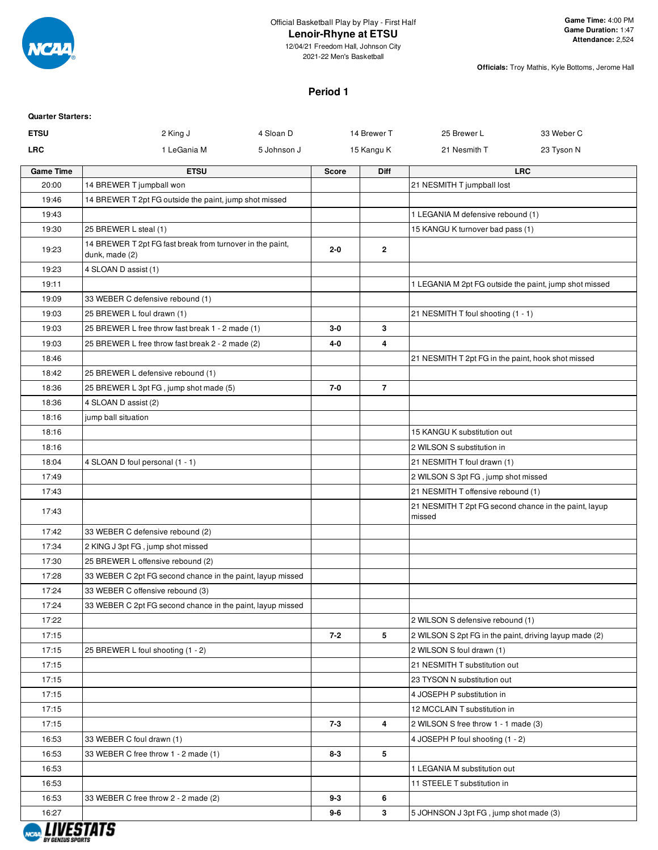

12/04/21 Freedom Hall, Johnson City 2021-22 Men's Basketball

**Officials:** Troy Mathis, Kyle Bottoms, Jerome Hall

#### **Period 1**

| <b>Quarter Starters:</b> |                                                                             |             |              |                |                                                                 |            |
|--------------------------|-----------------------------------------------------------------------------|-------------|--------------|----------------|-----------------------------------------------------------------|------------|
| <b>ETSU</b>              | 2 King J                                                                    | 4 Sloan D   |              | 14 Brewer T    | 25 Brewer L                                                     | 33 Weber C |
| <b>LRC</b>               | 1 LeGania M                                                                 | 5 Johnson J |              | 15 Kangu K     | 21 Nesmith T                                                    | 23 Tyson N |
| <b>Game Time</b>         | <b>ETSU</b>                                                                 |             | <b>Score</b> | Diff           |                                                                 | <b>LRC</b> |
| 20:00                    | 14 BREWER T jumpball won                                                    |             |              |                | 21 NESMITH T jumpball lost                                      |            |
| 19:46                    | 14 BREWER T 2pt FG outside the paint, jump shot missed                      |             |              |                |                                                                 |            |
| 19:43                    |                                                                             |             |              |                | 1 LEGANIA M defensive rebound (1)                               |            |
| 19:30                    | 25 BREWER L steal (1)                                                       |             |              |                | 15 KANGU K turnover bad pass (1)                                |            |
| 19:23                    | 14 BREWER T 2pt FG fast break from turnover in the paint,<br>dunk, made (2) |             | $2 - 0$      | $\mathbf{2}$   |                                                                 |            |
| 19:23                    | 4 SLOAN D assist (1)                                                        |             |              |                |                                                                 |            |
| 19:11                    |                                                                             |             |              |                | 1 LEGANIA M 2pt FG outside the paint, jump shot missed          |            |
| 19:09                    | 33 WEBER C defensive rebound (1)                                            |             |              |                |                                                                 |            |
| 19:03                    | 25 BREWER L foul drawn (1)                                                  |             |              |                | 21 NESMITH T foul shooting (1 - 1)                              |            |
| 19:03                    | 25 BREWER L free throw fast break 1 - 2 made (1)                            |             | $3-0$        | 3              |                                                                 |            |
| 19:03                    | 25 BREWER L free throw fast break 2 - 2 made (2)                            |             | 4-0          | 4              |                                                                 |            |
| 18:46                    |                                                                             |             |              |                | 21 NESMITH T 2pt FG in the paint, hook shot missed              |            |
| 18:42                    | 25 BREWER L defensive rebound (1)                                           |             |              |                |                                                                 |            |
| 18:36                    | 25 BREWER L 3pt FG, jump shot made (5)                                      |             | $7 - 0$      | $\overline{7}$ |                                                                 |            |
| 18:36                    | 4 SLOAN D assist (2)                                                        |             |              |                |                                                                 |            |
| 18:16                    | jump ball situation                                                         |             |              |                |                                                                 |            |
| 18:16                    |                                                                             |             |              |                | 15 KANGU K substitution out                                     |            |
| 18:16                    |                                                                             |             |              |                | 2 WILSON S substitution in                                      |            |
| 18:04                    | 4 SLOAN D foul personal (1 - 1)                                             |             |              |                | 21 NESMITH T foul drawn (1)                                     |            |
| 17:49                    |                                                                             |             |              |                | 2 WILSON S 3pt FG, jump shot missed                             |            |
| 17:43                    |                                                                             |             |              |                | 21 NESMITH T offensive rebound (1)                              |            |
| 17:43                    |                                                                             |             |              |                | 21 NESMITH T 2pt FG second chance in the paint, layup<br>missed |            |
| 17:42                    | 33 WEBER C defensive rebound (2)                                            |             |              |                |                                                                 |            |
| 17:34                    | 2 KING J 3pt FG, jump shot missed                                           |             |              |                |                                                                 |            |
| 17:30                    | 25 BREWER L offensive rebound (2)                                           |             |              |                |                                                                 |            |
| 17:28                    | 33 WEBER C 2pt FG second chance in the paint, layup missed                  |             |              |                |                                                                 |            |
| 17:24                    | 33 WEBER C offensive rebound (3)                                            |             |              |                |                                                                 |            |
| 17:24                    | 33 WEBER C 2pt FG second chance in the paint, layup missed                  |             |              |                |                                                                 |            |
| 17:22                    |                                                                             |             |              |                | 2 WILSON S defensive rebound (1)                                |            |
| 17:15                    |                                                                             |             | $7 - 2$      | 5              | 2 WILSON S 2pt FG in the paint, driving layup made (2)          |            |
| 17:15                    | 25 BREWER L foul shooting (1 - 2)                                           |             |              |                | 2 WILSON S foul drawn (1)                                       |            |
| 17:15                    |                                                                             |             |              |                | 21 NESMITH T substitution out                                   |            |
| 17:15                    |                                                                             |             |              |                | 23 TYSON N substitution out                                     |            |
| 17:15                    |                                                                             |             |              |                | 4 JOSEPH P substitution in                                      |            |
| 17:15                    |                                                                             |             |              |                | 12 MCCLAIN T substitution in                                    |            |
| 17:15                    |                                                                             |             | $7 - 3$      | 4              | 2 WILSON S free throw 1 - 1 made (3)                            |            |
| 16:53                    | 33 WEBER C foul drawn (1)                                                   |             |              |                | 4 JOSEPH P foul shooting (1 - 2)                                |            |
| 16:53                    | 33 WEBER C free throw 1 - 2 made (1)                                        |             | $8 - 3$      | 5              |                                                                 |            |
| 16:53                    |                                                                             |             |              |                | 1 LEGANIA M substitution out                                    |            |
| 16:53                    |                                                                             |             |              |                | 11 STEELE T substitution in                                     |            |
| 16:53                    | 33 WEBER C free throw 2 - 2 made (2)                                        |             | $9 - 3$      | 6              |                                                                 |            |
| 16:27                    |                                                                             |             | 9-6          | 3              | 5 JOHNSON J 3pt FG, jump shot made (3)                          |            |

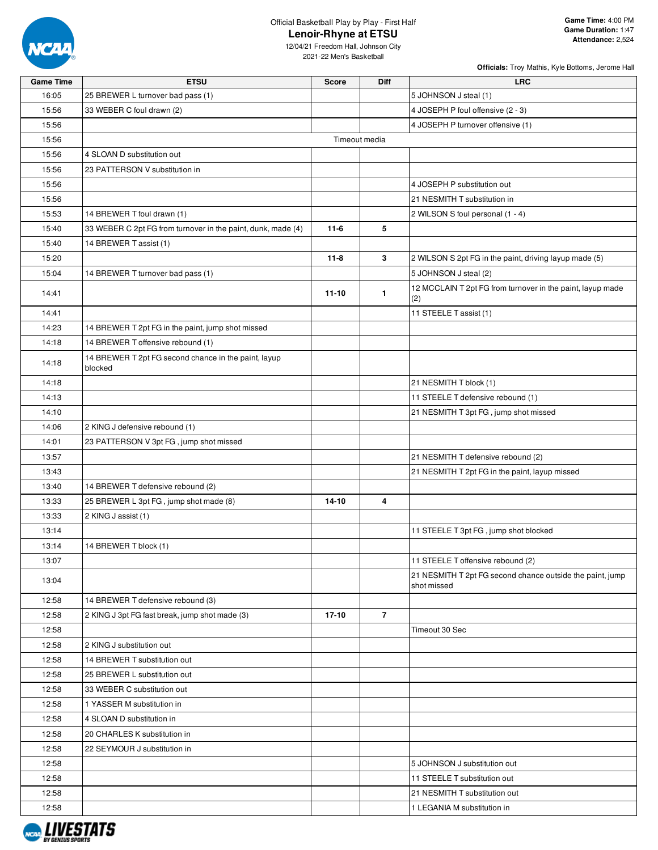

**Officials:** Troy Mathis, Kyle Bottoms, Jerome Hall

| <b>Game Time</b> | <b>ETSU</b>                                                     | <b>Score</b> | Diff           | <b>LRC</b>                                                 |
|------------------|-----------------------------------------------------------------|--------------|----------------|------------------------------------------------------------|
| 16:05            | 25 BREWER L turnover bad pass (1)                               |              |                | 5 JOHNSON J steal (1)                                      |
| 15:56            | 33 WEBER C foul drawn (2)                                       |              |                | 4 JOSEPH P foul offensive (2 - 3)                          |
| 15:56            |                                                                 |              |                | 4 JOSEPH P turnover offensive (1)                          |
| 15:56            |                                                                 |              | Timeout media  |                                                            |
| 15:56            | 4 SLOAN D substitution out                                      |              |                |                                                            |
| 15:56            | 23 PATTERSON V substitution in                                  |              |                |                                                            |
| 15:56            |                                                                 |              |                | 4 JOSEPH P substitution out                                |
| 15:56            |                                                                 |              |                | 21 NESMITH T substitution in                               |
| 15:53            | 14 BREWER T foul drawn (1)                                      |              |                | 2 WILSON S foul personal (1 - 4)                           |
| 15:40            | 33 WEBER C 2pt FG from turnover in the paint, dunk, made (4)    | $11-6$       | 5              |                                                            |
| 15:40            | 14 BREWER T assist (1)                                          |              |                |                                                            |
| 15:20            |                                                                 | $11 - 8$     | 3              | 2 WILSON S 2pt FG in the paint, driving layup made (5)     |
| 15:04            | 14 BREWER T turnover bad pass (1)                               |              |                | 5 JOHNSON J steal (2)                                      |
|                  |                                                                 |              |                | 12 MCCLAIN T 2pt FG from turnover in the paint, layup made |
| 14:41            |                                                                 | $11 - 10$    | $\mathbf{1}$   | (2)                                                        |
| 14:41            |                                                                 |              |                | 11 STEELE T assist (1)                                     |
| 14:23            | 14 BREWER T 2pt FG in the paint, jump shot missed               |              |                |                                                            |
| 14:18            | 14 BREWER T offensive rebound (1)                               |              |                |                                                            |
| 14:18            | 14 BREWER T 2pt FG second chance in the paint, layup<br>blocked |              |                |                                                            |
| 14:18            |                                                                 |              |                | 21 NESMITH T block (1)                                     |
| 14:13            |                                                                 |              |                | 11 STEELE T defensive rebound (1)                          |
| 14:10            |                                                                 |              |                | 21 NESMITH T 3pt FG, jump shot missed                      |
| 14:06            | 2 KING J defensive rebound (1)                                  |              |                |                                                            |
| 14:01            | 23 PATTERSON V 3pt FG, jump shot missed                         |              |                |                                                            |
| 13:57            |                                                                 |              |                | 21 NESMITH T defensive rebound (2)                         |
| 13:43            |                                                                 |              |                | 21 NESMITH T 2pt FG in the paint, layup missed             |
| 13:40            | 14 BREWER T defensive rebound (2)                               |              |                |                                                            |
| 13:33            | 25 BREWER L 3pt FG, jump shot made (8)                          | 14-10        | 4              |                                                            |
| 13:33            | 2 KING J assist (1)                                             |              |                |                                                            |
| 13:14            |                                                                 |              |                | 11 STEELE T 3pt FG, jump shot blocked                      |
| 13:14            | 14 BREWER T block (1)                                           |              |                |                                                            |
| 13:07            |                                                                 |              |                | 11 STEELE T offensive rebound (2)                          |
|                  |                                                                 |              |                | 21 NESMITH T 2pt FG second chance outside the paint, jump  |
| 13:04            |                                                                 |              |                | shot missed                                                |
| 12:58            | 14 BREWER T defensive rebound (3)                               |              |                |                                                            |
| 12:58            | 2 KING J 3pt FG fast break, jump shot made (3)                  | 17-10        | $\overline{7}$ |                                                            |
| 12:58            |                                                                 |              |                | Timeout 30 Sec                                             |
| 12:58            | 2 KING J substitution out                                       |              |                |                                                            |
| 12:58            | 14 BREWER T substitution out                                    |              |                |                                                            |
| 12:58            | 25 BREWER L substitution out                                    |              |                |                                                            |
| 12:58            | 33 WEBER C substitution out                                     |              |                |                                                            |
| 12:58            | 1 YASSER M substitution in                                      |              |                |                                                            |
| 12:58            | 4 SLOAN D substitution in                                       |              |                |                                                            |
| 12:58            | 20 CHARLES K substitution in                                    |              |                |                                                            |
| 12:58            | 22 SEYMOUR J substitution in                                    |              |                |                                                            |
| 12:58            |                                                                 |              |                | 5 JOHNSON J substitution out                               |
| 12:58            |                                                                 |              |                | 11 STEELE T substitution out                               |
| 12:58            |                                                                 |              |                | 21 NESMITH T substitution out                              |
| 12:58            |                                                                 |              |                | 1 LEGANIA M substitution in                                |

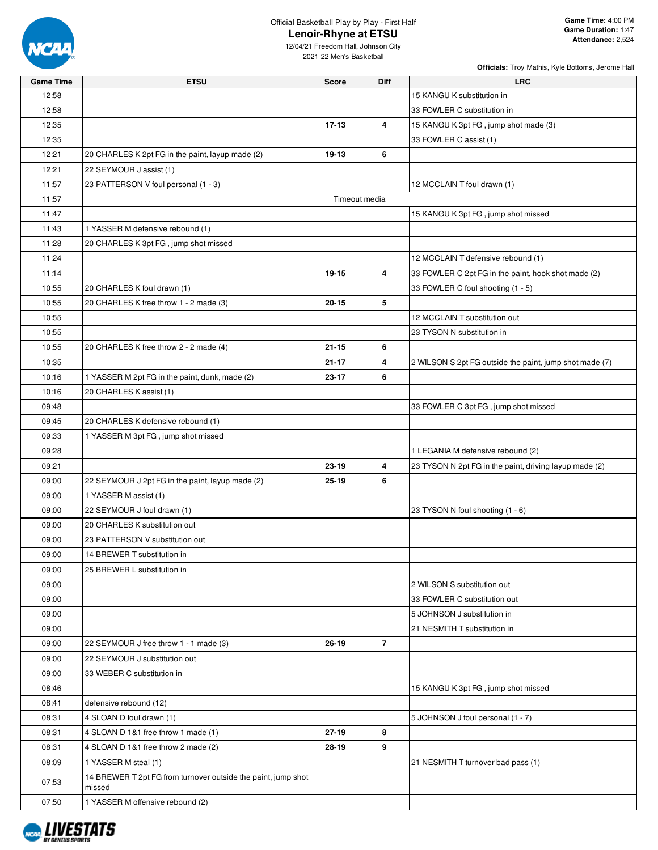

**Officials:** Troy Mathis, Kyle Bottoms, Jerome Hall

12/04/21 Freedom Hall, Johnson City 2021-22 Men's Basketball

**Game Time ETSU Score Diff LRC**

| 12:58 |                                                                         |               |   | 15 KANGU K substitution in                              |
|-------|-------------------------------------------------------------------------|---------------|---|---------------------------------------------------------|
| 12:58 |                                                                         |               |   | 33 FOWLER C substitution in                             |
| 12:35 |                                                                         | $17-13$       | 4 | 15 KANGU K 3pt FG, jump shot made (3)                   |
| 12:35 |                                                                         |               |   | 33 FOWLER C assist (1)                                  |
| 12:21 | 20 CHARLES K 2pt FG in the paint, layup made (2)                        | 19-13         | 6 |                                                         |
| 12:21 | 22 SEYMOUR J assist (1)                                                 |               |   |                                                         |
| 11:57 | 23 PATTERSON V foul personal (1 - 3)                                    |               |   | 12 MCCLAIN T foul drawn (1)                             |
| 11:57 |                                                                         | Timeout media |   |                                                         |
| 11:47 |                                                                         |               |   | 15 KANGU K 3pt FG, jump shot missed                     |
| 11:43 | 1 YASSER M defensive rebound (1)                                        |               |   |                                                         |
| 11:28 | 20 CHARLES K 3pt FG, jump shot missed                                   |               |   |                                                         |
| 11:24 |                                                                         |               |   | 12 MCCLAIN T defensive rebound (1)                      |
| 11:14 |                                                                         | 19-15         | 4 | 33 FOWLER C 2pt FG in the paint, hook shot made (2)     |
| 10:55 | 20 CHARLES K foul drawn (1)                                             |               |   | 33 FOWLER C foul shooting (1 - 5)                       |
| 10:55 | 20 CHARLES K free throw 1 - 2 made (3)                                  | $20 - 15$     | 5 |                                                         |
| 10:55 |                                                                         |               |   | 12 MCCLAIN T substitution out                           |
| 10:55 |                                                                         |               |   | 23 TYSON N substitution in                              |
| 10:55 | 20 CHARLES K free throw 2 - 2 made (4)                                  | $21 - 15$     | 6 |                                                         |
| 10:35 |                                                                         | $21 - 17$     | 4 | 2 WILSON S 2pt FG outside the paint, jump shot made (7) |
| 10:16 | 1 YASSER M 2pt FG in the paint, dunk, made (2)                          | 23-17         | 6 |                                                         |
| 10:16 | 20 CHARLES K assist (1)                                                 |               |   |                                                         |
| 09:48 |                                                                         |               |   | 33 FOWLER C 3pt FG, jump shot missed                    |
| 09:45 | 20 CHARLES K defensive rebound (1)                                      |               |   |                                                         |
| 09:33 | 1 YASSER M 3pt FG, jump shot missed                                     |               |   |                                                         |
| 09:28 |                                                                         |               |   | 1 LEGANIA M defensive rebound (2)                       |
| 09:21 |                                                                         | 23-19         | 4 | 23 TYSON N 2pt FG in the paint, driving layup made (2)  |
| 09:00 | 22 SEYMOUR J 2pt FG in the paint, layup made (2)                        | 25-19         | 6 |                                                         |
| 09:00 | 1 YASSER M assist (1)                                                   |               |   |                                                         |
| 09:00 | 22 SEYMOUR J foul drawn (1)                                             |               |   | 23 TYSON N foul shooting (1 - 6)                        |
| 09:00 | 20 CHARLES K substitution out                                           |               |   |                                                         |
| 09:00 | 23 PATTERSON V substitution out                                         |               |   |                                                         |
| 09:00 | 14 BREWER T substitution in                                             |               |   |                                                         |
| 09:00 | 25 BREWER L substitution in                                             |               |   |                                                         |
| 09:00 |                                                                         |               |   | 2 WILSON S substitution out                             |
| 09:00 |                                                                         |               |   | 33 FOWLER C substitution out                            |
| 09:00 |                                                                         |               |   | 5 JOHNSON J substitution in                             |
| 09:00 |                                                                         |               |   | 21 NESMITH T substitution in                            |
| 09:00 | 22 SEYMOUR J free throw 1 - 1 made (3)                                  | $26 - 19$     | 7 |                                                         |
| 09:00 | 22 SEYMOUR J substitution out                                           |               |   |                                                         |
| 09:00 | 33 WEBER C substitution in                                              |               |   |                                                         |
| 08:46 |                                                                         |               |   | 15 KANGU K 3pt FG, jump shot missed                     |
| 08:41 | defensive rebound (12)                                                  |               |   |                                                         |
| 08:31 | 4 SLOAN D foul drawn (1)                                                |               |   | 5 JOHNSON J foul personal (1 - 7)                       |
| 08:31 | 4 SLOAN D 1&1 free throw 1 made (1)                                     | 27-19         | 8 |                                                         |
| 08:31 | 4 SLOAN D 1&1 free throw 2 made (2)                                     | 28-19         | 9 |                                                         |
| 08:09 | 1 YASSER M steal (1)                                                    |               |   | 21 NESMITH T turnover bad pass (1)                      |
| 07:53 | 14 BREWER T 2pt FG from turnover outside the paint, jump shot<br>missed |               |   |                                                         |



07:50 1 YASSER M offensive rebound (2)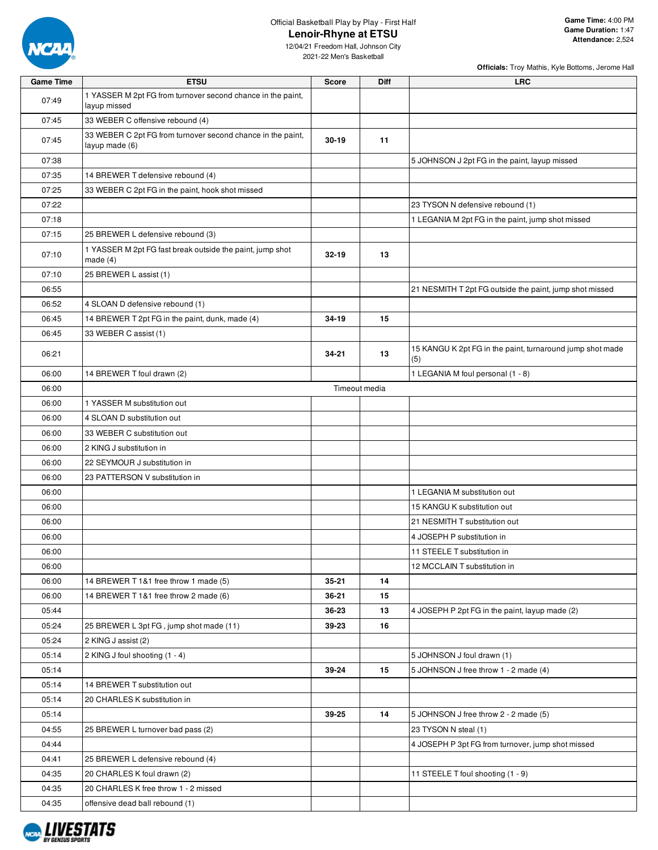

12/04/21 Freedom Hall, Johnson City 2021-22 Men's Basketball

**Officials:** Troy Mathis, Kyle Bottoms, Jerome Hall

| <b>Game Time</b> | <b>ETSU</b>                                                                   | <b>Score</b>  | <b>Diff</b> | <b>LRC</b>                                                       |
|------------------|-------------------------------------------------------------------------------|---------------|-------------|------------------------------------------------------------------|
| 07:49            | 1 YASSER M 2pt FG from turnover second chance in the paint,<br>layup missed   |               |             |                                                                  |
| 07:45            | 33 WEBER C offensive rebound (4)                                              |               |             |                                                                  |
| 07:45            | 33 WEBER C 2pt FG from turnover second chance in the paint,<br>layup made (6) | $30 - 19$     | 11          |                                                                  |
| 07:38            |                                                                               |               |             | 5 JOHNSON J 2pt FG in the paint, layup missed                    |
| 07:35            | 14 BREWER T defensive rebound (4)                                             |               |             |                                                                  |
| 07:25            | 33 WEBER C 2pt FG in the paint, hook shot missed                              |               |             |                                                                  |
| 07:22            |                                                                               |               |             | 23 TYSON N defensive rebound (1)                                 |
| 07:18            |                                                                               |               |             | 1 LEGANIA M 2pt FG in the paint, jump shot missed                |
| 07:15            | 25 BREWER L defensive rebound (3)                                             |               |             |                                                                  |
| 07:10            | 1 YASSER M 2pt FG fast break outside the paint, jump shot<br>made $(4)$       | $32 - 19$     | 13          |                                                                  |
| 07:10            | 25 BREWER L assist (1)                                                        |               |             |                                                                  |
| 06:55            |                                                                               |               |             | 21 NESMITH T 2pt FG outside the paint, jump shot missed          |
| 06:52            | 4 SLOAN D defensive rebound (1)                                               |               |             |                                                                  |
| 06:45            | 14 BREWER T 2pt FG in the paint, dunk, made (4)                               | 34-19         | 15          |                                                                  |
| 06:45            | 33 WEBER C assist (1)                                                         |               |             |                                                                  |
| 06:21            |                                                                               | 34-21         | 13          | 15 KANGU K 2pt FG in the paint, turnaround jump shot made<br>(5) |
| 06:00            | 14 BREWER T foul drawn (2)                                                    |               |             | 1 LEGANIA M foul personal (1 - 8)                                |
| 06:00            |                                                                               | Timeout media |             |                                                                  |
| 06:00            | 1 YASSER M substitution out                                                   |               |             |                                                                  |
| 06:00            | 4 SLOAN D substitution out                                                    |               |             |                                                                  |
| 06:00            | 33 WEBER C substitution out                                                   |               |             |                                                                  |
| 06:00            | 2 KING J substitution in                                                      |               |             |                                                                  |
| 06:00            | 22 SEYMOUR J substitution in                                                  |               |             |                                                                  |
| 06:00            | 23 PATTERSON V substitution in                                                |               |             |                                                                  |
| 06:00            |                                                                               |               |             | 1 LEGANIA M substitution out                                     |
| 06:00            |                                                                               |               |             | 15 KANGU K substitution out                                      |
| 06:00            |                                                                               |               |             | 21 NESMITH T substitution out                                    |
| 06:00            |                                                                               |               |             | 4 JOSEPH P substitution in                                       |
| 06:00            |                                                                               |               |             | 11 STEELE T substitution in                                      |
| 06:00            |                                                                               |               |             | 12 MCCLAIN T substitution in                                     |
| 06:00            | 14 BREWER T 1&1 free throw 1 made (5)                                         | $35 - 21$     | 14          |                                                                  |
| 06:00            | 14 BREWER T 1&1 free throw 2 made (6)                                         | 36-21         | 15          |                                                                  |
| 05:44            |                                                                               | 36-23         | 13          | 4 JOSEPH P 2pt FG in the paint, layup made (2)                   |
| 05:24            | 25 BREWER L 3pt FG, jump shot made (11)                                       | 39-23         | 16          |                                                                  |
| 05:24            | 2 KING J assist (2)                                                           |               |             |                                                                  |
| 05:14            | 2 KING J foul shooting (1 - 4)                                                |               | 15          | 5 JOHNSON J foul drawn (1)                                       |
| 05:14            | 14 BREWER T substitution out                                                  | 39-24         |             | 5 JOHNSON J free throw 1 - 2 made (4)                            |
| 05:14<br>05:14   | 20 CHARLES K substitution in                                                  |               |             |                                                                  |
| 05:14            |                                                                               | 39-25         | 14          | 5 JOHNSON J free throw 2 - 2 made (5)                            |
| 04:55            | 25 BREWER L turnover bad pass (2)                                             |               |             | 23 TYSON N steal (1)                                             |
| 04:44            |                                                                               |               |             | 4 JOSEPH P 3pt FG from turnover, jump shot missed                |
| 04:41            | 25 BREWER L defensive rebound (4)                                             |               |             |                                                                  |
| 04:35            | 20 CHARLES K foul drawn (2)                                                   |               |             | 11 STEELE T foul shooting (1 - 9)                                |
| 04:35            | 20 CHARLES K free throw 1 - 2 missed                                          |               |             |                                                                  |
| 04:35            | offensive dead ball rebound (1)                                               |               |             |                                                                  |
|                  |                                                                               |               |             |                                                                  |

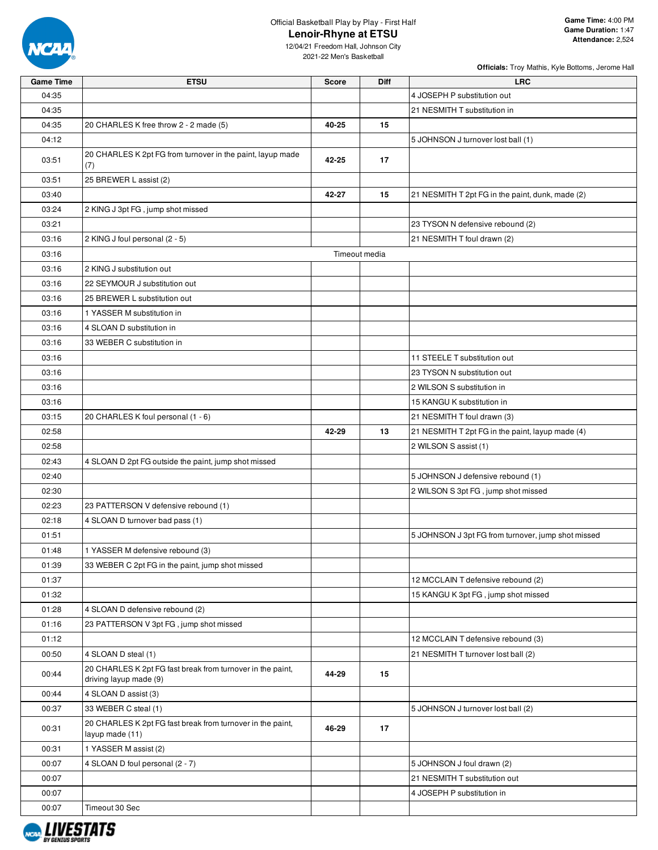

**Officials:** Troy Mathis, Kyle Bottoms, Jerome Hall

| <b>Game Time</b> | <b>ETSU</b>                                                                   | <b>Score</b>  | <b>Diff</b> | <b>LRC</b>                                         |
|------------------|-------------------------------------------------------------------------------|---------------|-------------|----------------------------------------------------|
| 04:35            |                                                                               |               |             | 4 JOSEPH P substitution out                        |
| 04:35            |                                                                               |               |             | 21 NESMITH T substitution in                       |
| 04:35            | 20 CHARLES K free throw 2 - 2 made (5)                                        | 40-25         | 15          |                                                    |
| 04:12            |                                                                               |               |             | 5 JOHNSON J turnover lost ball (1)                 |
|                  | 20 CHARLES K 2pt FG from turnover in the paint, layup made                    |               |             |                                                    |
| 03:51            | (7)                                                                           | 42-25         | 17          |                                                    |
| 03:51            | 25 BREWER L assist (2)                                                        |               |             |                                                    |
| 03:40            |                                                                               | 42-27         | 15          | 21 NESMITH T 2pt FG in the paint, dunk, made (2)   |
| 03:24            | 2 KING J 3pt FG, jump shot missed                                             |               |             |                                                    |
| 03:21            |                                                                               |               |             | 23 TYSON N defensive rebound (2)                   |
| 03:16            | 2 KING J foul personal (2 - 5)                                                |               |             | 21 NESMITH T foul drawn (2)                        |
| 03:16            |                                                                               | Timeout media |             |                                                    |
| 03:16            | 2 KING J substitution out                                                     |               |             |                                                    |
| 03:16            | 22 SEYMOUR J substitution out                                                 |               |             |                                                    |
| 03:16            | 25 BREWER L substitution out                                                  |               |             |                                                    |
| 03:16            | 1 YASSER M substitution in                                                    |               |             |                                                    |
| 03:16            | 4 SLOAN D substitution in                                                     |               |             |                                                    |
| 03:16            | 33 WEBER C substitution in                                                    |               |             |                                                    |
| 03:16            |                                                                               |               |             | 11 STEELE T substitution out                       |
| 03:16            |                                                                               |               |             | 23 TYSON N substitution out                        |
| 03:16            |                                                                               |               |             | 2 WILSON S substitution in                         |
| 03:16            |                                                                               |               |             | 15 KANGU K substitution in                         |
| 03:15            | 20 CHARLES K foul personal (1 - 6)                                            |               |             | 21 NESMITH T foul drawn (3)                        |
| 02:58            |                                                                               | 42-29         | 13          | 21 NESMITH T 2pt FG in the paint, layup made (4)   |
| 02:58            |                                                                               |               |             | 2 WILSON S assist (1)                              |
| 02:43            | 4 SLOAN D 2pt FG outside the paint, jump shot missed                          |               |             |                                                    |
| 02:40            |                                                                               |               |             | 5 JOHNSON J defensive rebound (1)                  |
| 02:30            |                                                                               |               |             | 2 WILSON S 3pt FG, jump shot missed                |
| 02:23            | 23 PATTERSON V defensive rebound (1)                                          |               |             |                                                    |
| 02:18            | 4 SLOAN D turnover bad pass (1)                                               |               |             |                                                    |
| 01:51            |                                                                               |               |             | 5 JOHNSON J 3pt FG from turnover, jump shot missed |
| 01:48            | 1 YASSER M defensive rebound (3)                                              |               |             |                                                    |
| 01:39            | 33 WEBER C 2pt FG in the paint, jump shot missed                              |               |             |                                                    |
| 01:37            |                                                                               |               |             | 12 MCCLAIN T defensive rebound (2)                 |
| 01:32            |                                                                               |               |             | 15 KANGU K 3pt FG, jump shot missed                |
| 01:28            | 4 SLOAN D defensive rebound (2)                                               |               |             |                                                    |
| 01:16            | 23 PATTERSON V 3pt FG, jump shot missed                                       |               |             |                                                    |
| 01:12            |                                                                               |               |             | 12 MCCLAIN T defensive rebound (3)                 |
| 00:50            | 4 SLOAN D steal (1)                                                           |               |             | 21 NESMITH T turnover lost ball (2)                |
|                  | 20 CHARLES K 2pt FG fast break from turnover in the paint,                    |               |             |                                                    |
| 00:44            | driving layup made (9)                                                        | 44-29         | 15          |                                                    |
| 00:44            | 4 SLOAN D assist (3)                                                          |               |             |                                                    |
| 00:37            | 33 WEBER C steal (1)                                                          |               |             | 5 JOHNSON J turnover lost ball (2)                 |
| 00:31            | 20 CHARLES K 2pt FG fast break from turnover in the paint,<br>layup made (11) | 46-29         | 17          |                                                    |
| 00:31            | 1 YASSER M assist (2)                                                         |               |             |                                                    |
| 00:07            | 4 SLOAN D foul personal (2 - 7)                                               |               |             | 5 JOHNSON J foul drawn (2)                         |
| 00:07            |                                                                               |               |             | 21 NESMITH T substitution out                      |
| 00:07            |                                                                               |               |             | 4 JOSEPH P substitution in                         |
| 00:07            | Timeout 30 Sec                                                                |               |             |                                                    |

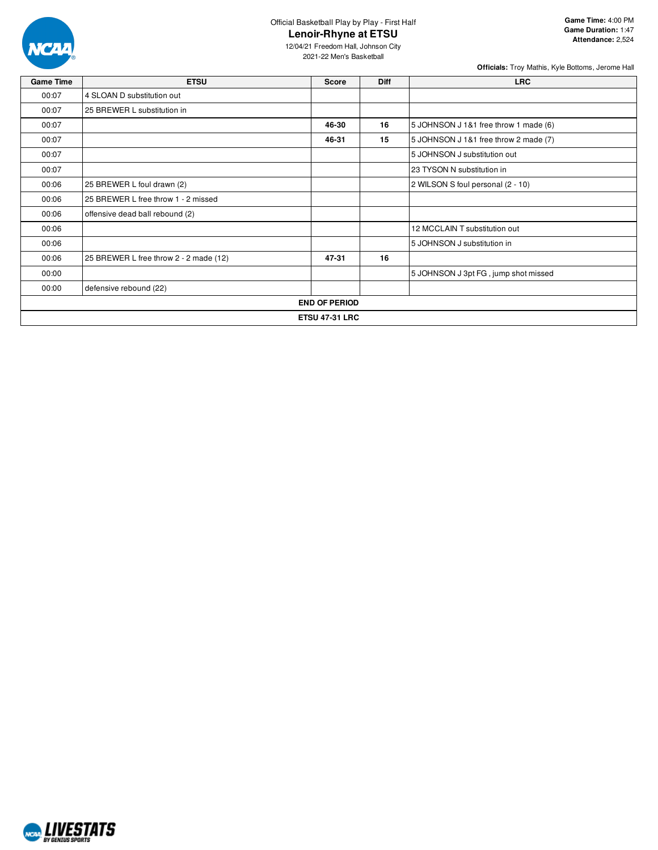

12/04/21 Freedom Hall, Johnson City 2021-22 Men's Basketball

**Officials:** Troy Mathis, Kyle Bottoms, Jerome Hall

| <b>Game Time</b> | <b>ETSU</b>                            | Score                 | <b>Diff</b> | <b>LRC</b>                            |
|------------------|----------------------------------------|-----------------------|-------------|---------------------------------------|
| 00:07            | 4 SLOAN D substitution out             |                       |             |                                       |
| 00:07            | 25 BREWER L substitution in            |                       |             |                                       |
| 00:07            |                                        | 46-30                 | 16          | 5 JOHNSON J 1&1 free throw 1 made (6) |
| 00:07            |                                        | 46-31                 | 15          | 5 JOHNSON J 1&1 free throw 2 made (7) |
| 00:07            |                                        |                       |             | 5 JOHNSON J substitution out          |
| 00:07            |                                        |                       |             | 23 TYSON N substitution in            |
| 00:06            | 25 BREWER L foul drawn (2)             |                       |             | 2 WILSON S foul personal (2 - 10)     |
| 00:06            | 25 BREWER L free throw 1 - 2 missed    |                       |             |                                       |
| 00:06            | offensive dead ball rebound (2)        |                       |             |                                       |
| 00:06            |                                        |                       |             | 12 MCCLAIN T substitution out         |
| 00:06            |                                        |                       |             | 5 JOHNSON J substitution in           |
| 00:06            | 25 BREWER L free throw 2 - 2 made (12) | 47-31                 | 16          |                                       |
| 00:00            |                                        |                       |             | 5 JOHNSON J 3pt FG, jump shot missed  |
| 00:00            | defensive rebound (22)                 |                       |             |                                       |
|                  |                                        | <b>END OF PERIOD</b>  |             |                                       |
|                  |                                        | <b>ETSU 47-31 LRC</b> |             |                                       |

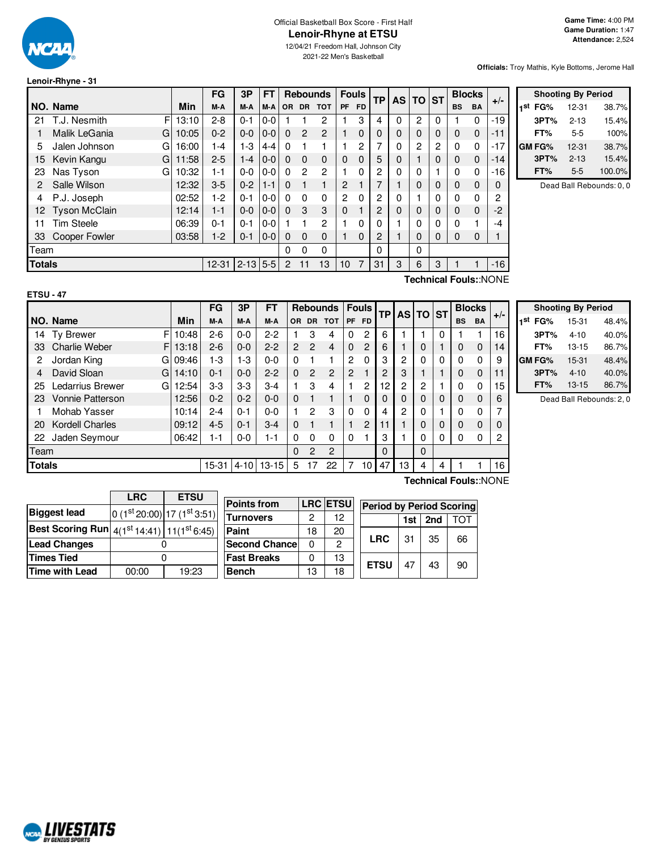

## Official Basketball Box Score - First Half **Lenoir-Rhyne at ETSU**

12/04/21 Freedom Hall, Johnson City 2021-22 Men's Basketball

**Officials:** Troy Mathis, Kyle Bottoms, Jerome Hall

# **Lenoir-Rhyne - 31**

|               |                      |       | FG        | 3P           | FT      |                | <b>Rebounds</b> |                | <b>Fouls</b>   |     | <b>TP</b> | AS I         | <b>TO</b> | ∣ST |           | <b>Blocks</b> |       |  |
|---------------|----------------------|-------|-----------|--------------|---------|----------------|-----------------|----------------|----------------|-----|-----------|--------------|-----------|-----|-----------|---------------|-------|--|
|               | NO. Name             | Min   | M-A       | M-A          | M-A     | <b>OR</b>      | <b>DR</b>       | <b>TOT</b>     | <b>PF</b>      | FD. |           |              |           |     | <b>BS</b> | <b>BA</b>     | $+/-$ |  |
| 21            | F<br>T.J. Nesmith    | 13:10 | $2 - 8$   | $0 - 1$      | $0-0$   |                |                 | 2              |                | 3   | 4         | 0            | 2         | 0   |           | 0             | $-19$ |  |
|               | Malik LeGania<br>G   | 10:05 | $0 - 2$   | $0 - 0$      | $0-0$   | $\Omega$       | 2               | $\mathbf{P}$   |                | 0   | 0         | $\mathbf{0}$ | $\Omega$  | 0   | 0         | 0             | -11   |  |
| 5             | Jalen Johnson<br>G   | 16:00 | 1-4       | 1-3          | $4 - 4$ | $\Omega$       |                 |                |                | 2   | 7         | 0            | 2         | 2   | 0         | $\mathbf 0$   | $-17$ |  |
| 15            | Kevin Kangu<br>G     | 11:58 | $2 - 5$   | 1-4          | $0-0$   | $\Omega$       | $\Omega$        | $\Omega$       | 0              | 0   | 5         | 0            |           | 0   | 0         | 0             | $-14$ |  |
| 23            | Nas Tyson<br>G       | 10:32 | 1-1       | $0 - 0$      | $0 - 0$ | $\Omega$       | 2               | $\overline{c}$ |                | 0   | 2         | 0            | 0         |     | 0         | 0             | $-16$ |  |
| 2             | Salle Wilson         | 12:32 | $3-5$     | $0 - 2$      | $1 - 1$ | $\Omega$       | $\mathbf{1}$    | 1              | 2              |     | 7         |              | $\Omega$  | 0   | 0         | 0             | 0     |  |
| 4             | P.J. Joseph          | 02:52 | 1-2       | $0 - 1$      | $0 - 0$ | 0              | $\Omega$        | $\Omega$       | $\overline{2}$ | 0   | 2         | $\Omega$     |           | 0   | 0         | 0             | 2     |  |
| 12.           | <b>Tyson McClain</b> | 12:14 | $1 - 1$   | $0 - 0$      | $0-0$   | $\Omega$       | 3               | 3              | 0              |     | 2         | $\Omega$     | $\Omega$  | 0   | 0         | 0             | $-2$  |  |
| 11            | <b>Tim Steele</b>    | 06:39 | $0 - 1$   | $0 - 1$      | $0 - 0$ |                |                 | 2              |                | 0   | 0         |              | 0         | 0   | 0         | 1             | -4    |  |
| 33            | <b>Cooper Fowler</b> | 03:58 | $1-2$     | $0 - 1$      | $0-0$   | 0              | 0               | $\Omega$       |                | 0   | 2         | 4            | $\Omega$  | 0   | 0         | 0             |       |  |
| Team          |                      |       |           |              |         | 0              | 0               | $\Omega$       |                |     | 0         |              | 0         |     |           |               |       |  |
| <b>Totals</b> |                      |       | $12 - 31$ | $2 - 13$ 5-5 |         | $\overline{2}$ | 11              | 13             | 10             | 7   | 31        | 3            | 6         | 3   |           |               | $-16$ |  |
|               |                      |       |           |              |         |                |                 |                |                |     |           |              |           |     |           |               | 2 1 1 |  |

|     |        | <b>Shooting By Period</b> |        |
|-----|--------|---------------------------|--------|
| 1st | FG%    | $12 - 31$                 | 38.7%  |
|     | 3PT%   | $2 - 13$                  | 15.4%  |
|     | FT%    | 5-5                       | 100%   |
|     | GM FG% | 12-31                     | 38.7%  |
|     | 3PT%   | $2 - 13$                  | 15.4%  |
|     | FT%    | 5-5                       | 100.0% |

Dead Ball Rebounds: 0, 0

**Technical Fouls:**:NONE

|                                                     |                           |       | FG      | 3P      | <b>FT</b> |                |                | <b>Rebounds</b> |                | <b>Fouls</b>   | <b>TP</b> |                | AS TO ST       |   |           | <b>Blocks</b> | $+/-$ |
|-----------------------------------------------------|---------------------------|-------|---------|---------|-----------|----------------|----------------|-----------------|----------------|----------------|-----------|----------------|----------------|---|-----------|---------------|-------|
|                                                     | NO. Name                  | Min   | M-A     | M-A     | M-A       | OR.            | <b>DR</b>      | <b>TOT</b>      | PF             | <b>FD</b>      |           |                |                |   | <b>BS</b> | <b>BA</b>     |       |
| 14                                                  | F<br><b>Ty Brewer</b>     | 10:48 | $2-6$   | $0 - 0$ | $2 - 2$   |                | 3              | 4               | 0              | 2              | 6         |                |                | 0 |           |               | 16    |
| 33                                                  | <b>Charlie Weber</b><br>F | 13:18 | $2-6$   | $0 - 0$ | $2 - 2$   | $\overline{2}$ | $\mathcal{P}$  | $\overline{4}$  | $\Omega$       | 2              | 6         |                | 0              |   | 0         | 0             | 14    |
| 2                                                   | Jordan King<br>G          | 09:46 | -3      | $1-3$   | $0 - 0$   | 0              |                |                 | $\mathbf{2}$   | 0              | 3         | $\overline{c}$ | 0              | 0 |           | 0             | 9     |
| 4                                                   | David Sloan<br>G          | 14:10 | $0 - 1$ | $0 - 0$ | $2 - 2$   | 0              | $\overline{2}$ | $\overline{2}$  | $\overline{2}$ |                | 2         | 3              |                |   | 0         | $\mathbf 0$   | 11    |
| 25                                                  | Ledarrius Brewer<br>G     | 12:54 | $3-3$   | $3-3$   | $3-4$     |                | 3              | 4               |                | 2              | 12        | 2              | $\overline{2}$ |   |           | 0             | 15    |
| 23                                                  | Vonnie Patterson          | 12:56 | $0 - 2$ | $0 - 2$ | $0 - 0$   | 0              |                |                 |                | $\Omega$       | 0         | 0              | $\Omega$       | 0 | 0         | 0             | 6     |
|                                                     | Mohab Yasser              | 10:14 | $2 - 4$ | $0 - 1$ | $0 - 0$   |                | 2              | 3               | 0              | 0              | 4         | $\overline{2}$ | 0              |   | $\Omega$  | $\mathbf{0}$  |       |
| 20                                                  | <b>Kordell Charles</b>    | 09:12 | $4 - 5$ | $0 - 1$ | $3 - 4$   | $\Omega$       |                |                 |                | $\overline{2}$ | 11        |                | 0              | 0 | $\Omega$  | $\mathbf 0$   |       |
| 22                                                  | Jaden Seymour             | 06:42 | $1 - 1$ | $0-0$   | $1 - 1$   | 0              | 0              | $\Omega$        | 0              |                | 3         |                | 0              | 0 |           | 0             | 2     |
|                                                     | Team                      |       |         |         |           |                | 2              | $\overline{2}$  |                |                | 0         |                | $\Omega$       |   |           |               |       |
| <b>Totals</b><br>$13 - 15$<br>$15 - 31$<br>$4 - 10$ |                           |       |         |         | 5         | 17             | 22             |                 | 10             | 47             | 13        | 4              | 4              |   |           | 16            |       |

|               | <b>Shooting By Period</b> |       |  |  |  |  |
|---------------|---------------------------|-------|--|--|--|--|
| 1st<br>FG%    | 15-31                     | 48.4% |  |  |  |  |
| 3PT%          | $4 - 10$                  | 40.0% |  |  |  |  |
| FT%           | $13 - 15$                 | 86.7% |  |  |  |  |
| <b>GM FG%</b> | 15-31                     | 48.4% |  |  |  |  |
| 3PT%          | $4 - 10$                  | 40.0% |  |  |  |  |
| FT%           | $13 - 15$                 | 86.7% |  |  |  |  |

Dead Ball Rebounds: 2, 0

|                                                                   | <b>LRC</b> | <b>ETSU</b>                | Poin       |  |  |  |  |
|-------------------------------------------------------------------|------------|----------------------------|------------|--|--|--|--|
| <b>Biggest lead</b>                                               |            | $0(1st20:00) 17(1st3:51) $ | Turr       |  |  |  |  |
| <b>Best Scoring Run</b> $4(1^{st}14:41)$ 11(1 <sup>st</sup> 6:45) |            |                            | Pain       |  |  |  |  |
| <b>Lead Changes</b>                                               |            |                            |            |  |  |  |  |
| <b>Times Tied</b>                                                 |            | Fast                       |            |  |  |  |  |
| Time with Lead                                                    | 00:00      | 19:23                      | <b>Ben</b> |  |  |  |  |

| <b>Points from</b>    |    | <b>LRC ETSU</b> | <b>Period by Period Scoring</b> |     |     |     |  |  |  |  |  |  |
|-----------------------|----|-----------------|---------------------------------|-----|-----|-----|--|--|--|--|--|--|
| <b>Turnovers</b>      | 2  | 12              |                                 | 1st | 2nd | τωτ |  |  |  |  |  |  |
| Paint                 | 18 | 20              |                                 |     |     | 66  |  |  |  |  |  |  |
| <b>Second Chancel</b> | O  | 2               | <b>LRC</b>                      | 31  | 35  |     |  |  |  |  |  |  |
| <b>Fast Breaks</b>    | n  | 13              | <b>ETSU</b>                     |     |     |     |  |  |  |  |  |  |
| <b>Bench</b>          | 13 | 18              |                                 |     | 43  | 90  |  |  |  |  |  |  |

**Technical Fouls:**:NONE

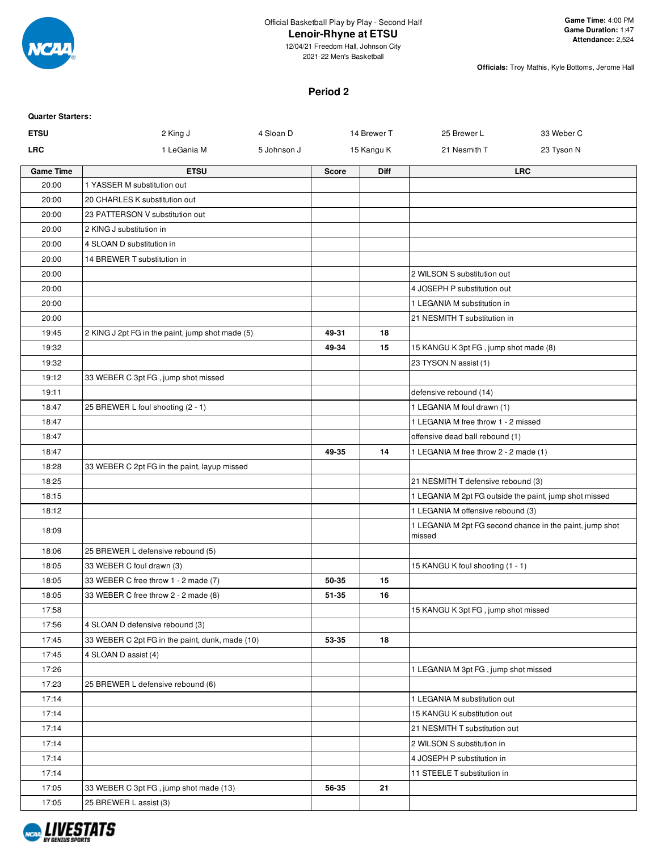

2021-22 Men's Basketball

**Officials:** Troy Mathis, Kyle Bottoms, Jerome Hall

#### **Period 2**

| <b>Quarter Starters:</b> |                                                  |             |              |             |                                                        |                                                          |
|--------------------------|--------------------------------------------------|-------------|--------------|-------------|--------------------------------------------------------|----------------------------------------------------------|
| <b>ETSU</b>              | 2 King J                                         | 4 Sloan D   |              | 14 Brewer T | 25 Brewer L                                            | 33 Weber C                                               |
| <b>LRC</b>               | 1 LeGania M                                      | 5 Johnson J |              | 15 Kangu K  | 21 Nesmith T                                           | 23 Tyson N                                               |
| <b>Game Time</b>         | <b>ETSU</b>                                      |             | <b>Score</b> | <b>Diff</b> |                                                        | <b>LRC</b>                                               |
| 20:00                    | 1 YASSER M substitution out                      |             |              |             |                                                        |                                                          |
| 20:00                    | 20 CHARLES K substitution out                    |             |              |             |                                                        |                                                          |
| 20:00                    | 23 PATTERSON V substitution out                  |             |              |             |                                                        |                                                          |
| 20:00                    | 2 KING J substitution in                         |             |              |             |                                                        |                                                          |
| 20:00                    | 4 SLOAN D substitution in                        |             |              |             |                                                        |                                                          |
| 20:00                    | 14 BREWER T substitution in                      |             |              |             |                                                        |                                                          |
| 20:00                    |                                                  |             |              |             | 2 WILSON S substitution out                            |                                                          |
| 20:00                    |                                                  |             |              |             | 4 JOSEPH P substitution out                            |                                                          |
| 20:00                    |                                                  |             |              |             | 1 LEGANIA M substitution in                            |                                                          |
| 20:00                    |                                                  |             |              |             | 21 NESMITH T substitution in                           |                                                          |
| 19:45                    | 2 KING J 2pt FG in the paint, jump shot made (5) |             | 49-31        | 18          |                                                        |                                                          |
| 19:32                    |                                                  |             | 49-34        | 15          | 15 KANGU K 3pt FG, jump shot made (8)                  |                                                          |
| 19:32                    |                                                  |             |              |             | 23 TYSON N assist (1)                                  |                                                          |
| 19:12                    | 33 WEBER C 3pt FG, jump shot missed              |             |              |             |                                                        |                                                          |
| 19:11                    |                                                  |             |              |             | defensive rebound (14)                                 |                                                          |
| 18:47                    | 25 BREWER L foul shooting (2 - 1)                |             |              |             | 1 LEGANIA M foul drawn (1)                             |                                                          |
| 18:47                    |                                                  |             |              |             | 1 LEGANIA M free throw 1 - 2 missed                    |                                                          |
| 18:47                    |                                                  |             |              |             | offensive dead ball rebound (1)                        |                                                          |
| 18:47                    |                                                  |             | 49-35        | 14          | 1 LEGANIA M free throw 2 - 2 made (1)                  |                                                          |
| 18:28                    | 33 WEBER C 2pt FG in the paint, layup missed     |             |              |             |                                                        |                                                          |
| 18:25                    |                                                  |             |              |             | 21 NESMITH T defensive rebound (3)                     |                                                          |
| 18:15                    |                                                  |             |              |             | 1 LEGANIA M 2pt FG outside the paint, jump shot missed |                                                          |
| 18:12                    |                                                  |             |              |             | 1 LEGANIA M offensive rebound (3)                      |                                                          |
| 18:09                    |                                                  |             |              |             | missed                                                 | 1 LEGANIA M 2pt FG second chance in the paint, jump shot |
| 18:06                    | 25 BREWER L defensive rebound (5)                |             |              |             |                                                        |                                                          |
| 18:05                    | 33 WEBER C foul drawn (3)                        |             |              |             | 15 KANGU K foul shooting (1 - 1)                       |                                                          |
| 18:05                    | 33 WEBER C free throw 1 - 2 made (7)             |             | 50-35        | 15          |                                                        |                                                          |
| 18:05                    | 33 WEBER C free throw 2 - 2 made (8)             |             | 51-35        | 16          |                                                        |                                                          |
| 17:58                    |                                                  |             |              |             | 15 KANGU K 3pt FG, jump shot missed                    |                                                          |
| 17:56                    | 4 SLOAN D defensive rebound (3)                  |             |              |             |                                                        |                                                          |
| 17:45                    | 33 WEBER C 2pt FG in the paint, dunk, made (10)  |             | 53-35        | 18          |                                                        |                                                          |
| 17:45                    | 4 SLOAN D assist (4)                             |             |              |             |                                                        |                                                          |
| 17:26                    |                                                  |             |              |             | 1 LEGANIA M 3pt FG, jump shot missed                   |                                                          |
| 17:23                    | 25 BREWER L defensive rebound (6)                |             |              |             |                                                        |                                                          |
| 17:14                    |                                                  |             |              |             | 1 LEGANIA M substitution out                           |                                                          |
| 17:14                    |                                                  |             |              |             | 15 KANGU K substitution out                            |                                                          |
| 17:14                    |                                                  |             |              |             | 21 NESMITH T substitution out                          |                                                          |
| 17:14                    |                                                  |             |              |             | 2 WILSON S substitution in                             |                                                          |
| 17:14                    |                                                  |             |              |             | 4 JOSEPH P substitution in                             |                                                          |
| 17:14                    |                                                  |             |              |             | 11 STEELE T substitution in                            |                                                          |
| 17:05                    | 33 WEBER C 3pt FG, jump shot made (13)           |             | 56-35        | 21          |                                                        |                                                          |
| 17:05                    | 25 BREWER L assist (3)                           |             |              |             |                                                        |                                                          |

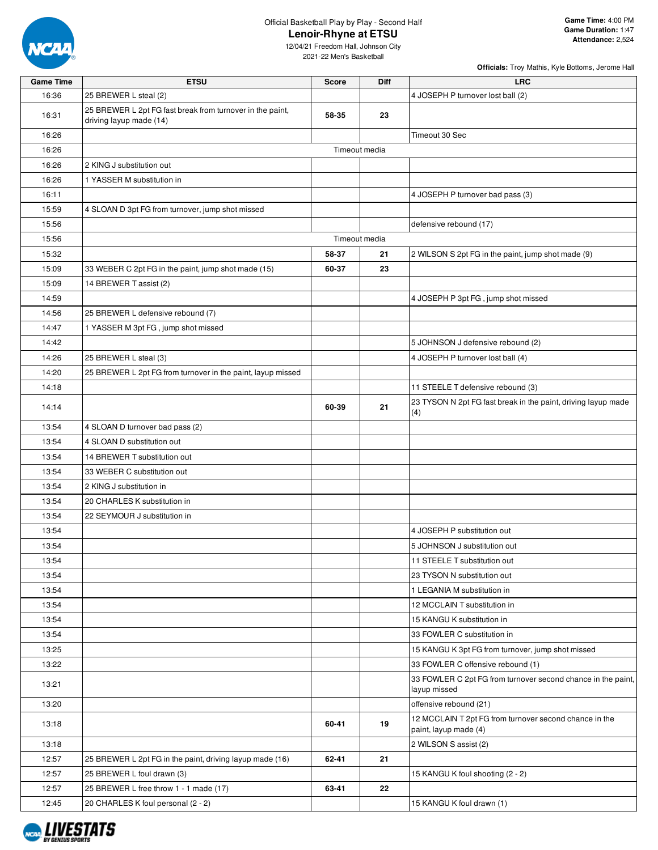

**Officials:** Troy Mathis, Kyle Bottoms, Jerome Hall

| <b>Game Time</b> | <b>ETSU</b>                                                                          | <b>Score</b> | Diff          | <b>LRC</b>                                                                      |
|------------------|--------------------------------------------------------------------------------------|--------------|---------------|---------------------------------------------------------------------------------|
| 16:36            | 25 BREWER L steal (2)                                                                |              |               | 4 JOSEPH P turnover lost ball (2)                                               |
| 16:31            | 25 BREWER L 2pt FG fast break from turnover in the paint,<br>driving layup made (14) | 58-35        | 23            |                                                                                 |
| 16:26            |                                                                                      |              |               | Timeout 30 Sec                                                                  |
| 16:26            |                                                                                      |              | Timeout media |                                                                                 |
| 16:26            | 2 KING J substitution out                                                            |              |               |                                                                                 |
| 16:26            | 1 YASSER M substitution in                                                           |              |               |                                                                                 |
| 16:11            |                                                                                      |              |               | 4 JOSEPH P turnover bad pass (3)                                                |
| 15:59            | 4 SLOAN D 3pt FG from turnover, jump shot missed                                     |              |               |                                                                                 |
| 15:56            |                                                                                      |              |               | defensive rebound (17)                                                          |
| 15:56            |                                                                                      |              | Timeout media |                                                                                 |
| 15:32            |                                                                                      | 58-37        | 21            | 2 WILSON S 2pt FG in the paint, jump shot made (9)                              |
| 15:09            | 33 WEBER C 2pt FG in the paint, jump shot made (15)                                  | 60-37        | 23            |                                                                                 |
| 15:09            | 14 BREWER T assist (2)                                                               |              |               |                                                                                 |
| 14:59            |                                                                                      |              |               | 4 JOSEPH P 3pt FG, jump shot missed                                             |
| 14:56            | 25 BREWER L defensive rebound (7)                                                    |              |               |                                                                                 |
| 14:47            | 1 YASSER M 3pt FG, jump shot missed                                                  |              |               |                                                                                 |
| 14:42            |                                                                                      |              |               | 5 JOHNSON J defensive rebound (2)                                               |
| 14:26            | 25 BREWER L steal (3)                                                                |              |               | 4 JOSEPH P turnover lost ball (4)                                               |
| 14:20            | 25 BREWER L 2pt FG from turnover in the paint, layup missed                          |              |               |                                                                                 |
| 14:18            |                                                                                      |              |               | 11 STEELE T defensive rebound (3)                                               |
| 14:14            |                                                                                      | 60-39        | 21            | 23 TYSON N 2pt FG fast break in the paint, driving layup made<br>(4)            |
| 13:54            | 4 SLOAN D turnover bad pass (2)                                                      |              |               |                                                                                 |
| 13:54            | 4 SLOAN D substitution out                                                           |              |               |                                                                                 |
| 13:54            | 14 BREWER T substitution out                                                         |              |               |                                                                                 |
| 13:54            | 33 WEBER C substitution out                                                          |              |               |                                                                                 |
| 13:54            | 2 KING J substitution in                                                             |              |               |                                                                                 |
| 13:54            | 20 CHARLES K substitution in                                                         |              |               |                                                                                 |
| 13:54            | 22 SEYMOUR J substitution in                                                         |              |               |                                                                                 |
| 13:54            |                                                                                      |              |               | 4 JOSEPH P substitution out                                                     |
| 13:54            |                                                                                      |              |               | 5 JOHNSON J substitution out                                                    |
| 13:54            |                                                                                      |              |               | 11 STEELE T substitution out                                                    |
| 13:54            |                                                                                      |              |               | 23 TYSON N substitution out                                                     |
| 13:54            |                                                                                      |              |               | 1 LEGANIA M substitution in                                                     |
| 13:54            |                                                                                      |              |               | 12 MCCLAIN T substitution in                                                    |
| 13:54            |                                                                                      |              |               | 15 KANGU K substitution in                                                      |
| 13:54            |                                                                                      |              |               | 33 FOWLER C substitution in                                                     |
| 13:25            |                                                                                      |              |               | 15 KANGU K 3pt FG from turnover, jump shot missed                               |
| 13:22            |                                                                                      |              |               | 33 FOWLER C offensive rebound (1)                                               |
| 13:21            |                                                                                      |              |               | 33 FOWLER C 2pt FG from turnover second chance in the paint,<br>layup missed    |
| 13:20            |                                                                                      |              |               | offensive rebound (21)                                                          |
| 13:18            |                                                                                      | 60-41        | 19            | 12 MCCLAIN T 2pt FG from turnover second chance in the<br>paint, layup made (4) |
| 13:18            |                                                                                      |              |               | 2 WILSON S assist (2)                                                           |
| 12:57            | 25 BREWER L 2pt FG in the paint, driving layup made (16)                             | 62-41        | 21            |                                                                                 |
| 12:57            | 25 BREWER L foul drawn (3)                                                           |              |               | 15 KANGU K foul shooting (2 - 2)                                                |
| 12:57            | 25 BREWER L free throw 1 - 1 made (17)                                               | 63-41        | 22            |                                                                                 |
| 12:45            | 20 CHARLES K foul personal (2 - 2)                                                   |              |               | 15 KANGU K foul drawn (1)                                                       |

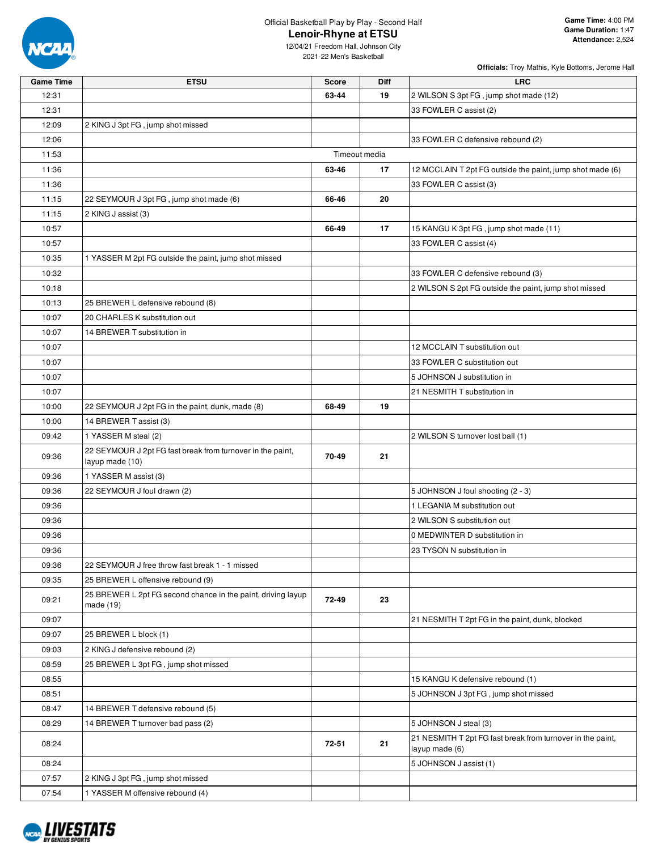

**Officials:** Troy Mathis, Kyle Bottoms, Jerome Hall

| <b>Game Time</b> | <b>ETSU</b>                                                                   | <b>Score</b> | Diff          | <b>LRC</b>                                                                   |
|------------------|-------------------------------------------------------------------------------|--------------|---------------|------------------------------------------------------------------------------|
| 12:31            |                                                                               | 63-44        | 19            | 2 WILSON S 3pt FG, jump shot made (12)                                       |
| 12:31            |                                                                               |              |               | 33 FOWLER C assist (2)                                                       |
| 12:09            | 2 KING J 3pt FG, jump shot missed                                             |              |               |                                                                              |
| 12:06            |                                                                               |              |               | 33 FOWLER C defensive rebound (2)                                            |
| 11:53            |                                                                               |              | Timeout media |                                                                              |
| 11:36            |                                                                               | 63-46        | 17            | 12 MCCLAIN T 2pt FG outside the paint, jump shot made (6)                    |
| 11:36            |                                                                               |              |               | 33 FOWLER C assist (3)                                                       |
| 11:15            | 22 SEYMOUR J 3pt FG, jump shot made (6)                                       | 66-46        | 20            |                                                                              |
| 11:15            | 2 KING J assist (3)                                                           |              |               |                                                                              |
| 10:57            |                                                                               | 66-49        | 17            | 15 KANGU K 3pt FG, jump shot made (11)                                       |
| 10:57            |                                                                               |              |               | 33 FOWLER C assist (4)                                                       |
| 10:35            | 1 YASSER M 2pt FG outside the paint, jump shot missed                         |              |               |                                                                              |
| 10:32            |                                                                               |              |               | 33 FOWLER C defensive rebound (3)                                            |
| 10:18            |                                                                               |              |               | 2 WILSON S 2pt FG outside the paint, jump shot missed                        |
| 10:13            | 25 BREWER L defensive rebound (8)                                             |              |               |                                                                              |
| 10:07            | 20 CHARLES K substitution out                                                 |              |               |                                                                              |
| 10:07            | 14 BREWER T substitution in                                                   |              |               |                                                                              |
| 10:07            |                                                                               |              |               | 12 MCCLAIN T substitution out                                                |
| 10:07            |                                                                               |              |               | 33 FOWLER C substitution out                                                 |
| 10:07            |                                                                               |              |               | 5 JOHNSON J substitution in                                                  |
| 10:07            |                                                                               |              |               | 21 NESMITH T substitution in                                                 |
| 10:00            | 22 SEYMOUR J 2pt FG in the paint, dunk, made (8)                              | 68-49        | 19            |                                                                              |
| 10:00            | 14 BREWER T assist (3)                                                        |              |               |                                                                              |
| 09:42            | 1 YASSER M steal (2)                                                          |              |               | 2 WILSON S turnover lost ball (1)                                            |
| 09:36            | 22 SEYMOUR J 2pt FG fast break from turnover in the paint,<br>layup made (10) | 70-49        | 21            |                                                                              |
| 09:36            | 1 YASSER M assist (3)                                                         |              |               |                                                                              |
| 09:36            | 22 SEYMOUR J foul drawn (2)                                                   |              |               | 5 JOHNSON J foul shooting (2 - 3)                                            |
| 09:36            |                                                                               |              |               | 1 LEGANIA M substitution out                                                 |
| 09:36            |                                                                               |              |               | 2 WILSON S substitution out                                                  |
| 09:36            |                                                                               |              |               | 0 MEDWINTER D substitution in                                                |
| 09:36            |                                                                               |              |               | 23 TYSON N substitution in                                                   |
| 09:36            | 22 SEYMOUR J free throw fast break 1 - 1 missed                               |              |               |                                                                              |
| 09:35            | 25 BREWER L offensive rebound (9)                                             |              |               |                                                                              |
| 09:21            | 25 BREWER L 2pt FG second chance in the paint, driving layup<br>made (19)     | 72-49        | 23            |                                                                              |
| 09:07            |                                                                               |              |               | 21 NESMITH T 2pt FG in the paint, dunk, blocked                              |
| 09:07            | 25 BREWER L block (1)                                                         |              |               |                                                                              |
| 09:03            | 2 KING J defensive rebound (2)                                                |              |               |                                                                              |
| 08:59            | 25 BREWER L 3pt FG, jump shot missed                                          |              |               |                                                                              |
| 08:55            |                                                                               |              |               | 15 KANGU K defensive rebound (1)                                             |
| 08:51            |                                                                               |              |               | 5 JOHNSON J 3pt FG, jump shot missed                                         |
| 08:47            | 14 BREWER T defensive rebound (5)                                             |              |               |                                                                              |
| 08:29            | 14 BREWER T turnover bad pass (2)                                             |              |               | 5 JOHNSON J steal (3)                                                        |
| 08:24            |                                                                               | 72-51        | 21            | 21 NESMITH T 2pt FG fast break from turnover in the paint,<br>layup made (6) |
| 08:24            |                                                                               |              |               | 5 JOHNSON J assist (1)                                                       |
| 07:57            | 2 KING J 3pt FG, jump shot missed                                             |              |               |                                                                              |
| 07:54            | 1 YASSER M offensive rebound (4)                                              |              |               |                                                                              |

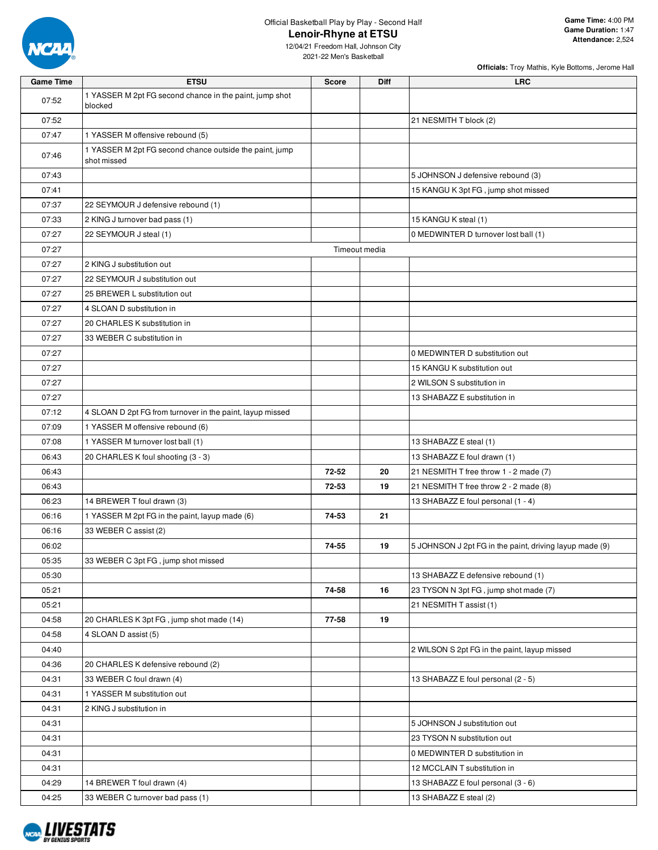

| <b>Officials:</b> Troy Mathis, Kyle Bottoms, Jerome Hall |  |  |  |
|----------------------------------------------------------|--|--|--|

| <b>Game Time</b> | <b>ETSU</b>                                                            | <b>Score</b> | <b>Diff</b>   | <b>LRC</b>                                              |
|------------------|------------------------------------------------------------------------|--------------|---------------|---------------------------------------------------------|
| 07:52            | 1 YASSER M 2pt FG second chance in the paint, jump shot<br>blocked     |              |               |                                                         |
| 07:52            |                                                                        |              |               | 21 NESMITH T block (2)                                  |
| 07:47            | 1 YASSER M offensive rebound (5)                                       |              |               |                                                         |
| 07:46            | 1 YASSER M 2pt FG second chance outside the paint, jump<br>shot missed |              |               |                                                         |
| 07:43            |                                                                        |              |               | 5 JOHNSON J defensive rebound (3)                       |
| 07:41            |                                                                        |              |               | 15 KANGU K 3pt FG, jump shot missed                     |
| 07:37            | 22 SEYMOUR J defensive rebound (1)                                     |              |               |                                                         |
| 07:33            | 2 KING J turnover bad pass (1)                                         |              |               | 15 KANGU K steal (1)                                    |
| 07:27            | 22 SEYMOUR J steal (1)                                                 |              |               | 0 MEDWINTER D turnover lost ball (1)                    |
| 07:27            |                                                                        |              | Timeout media |                                                         |
| 07:27            | 2 KING J substitution out                                              |              |               |                                                         |
| 07:27            | 22 SEYMOUR J substitution out                                          |              |               |                                                         |
| 07:27            | 25 BREWER L substitution out                                           |              |               |                                                         |
| 07:27            | 4 SLOAN D substitution in                                              |              |               |                                                         |
| 07:27            | 20 CHARLES K substitution in                                           |              |               |                                                         |
| 07:27            | 33 WEBER C substitution in                                             |              |               |                                                         |
| 07:27            |                                                                        |              |               | 0 MEDWINTER D substitution out                          |
| 07:27            |                                                                        |              |               | 15 KANGU K substitution out                             |
| 07:27            |                                                                        |              |               | 2 WILSON S substitution in                              |
| 07:27            |                                                                        |              |               | 13 SHABAZZ E substitution in                            |
| 07:12            | 4 SLOAN D 2pt FG from turnover in the paint, layup missed              |              |               |                                                         |
| 07:09            | 1 YASSER M offensive rebound (6)                                       |              |               |                                                         |
| 07:08            | 1 YASSER M turnover lost ball (1)                                      |              |               | 13 SHABAZZ E steal (1)                                  |
| 06:43            | 20 CHARLES K foul shooting (3 - 3)                                     |              |               | 13 SHABAZZ E foul drawn (1)                             |
| 06:43            |                                                                        | 72-52        | 20            | 21 NESMITH T free throw 1 - 2 made (7)                  |
| 06:43            |                                                                        | 72-53        | 19            | 21 NESMITH T free throw 2 - 2 made (8)                  |
| 06:23            | 14 BREWER T foul drawn (3)                                             |              |               | 13 SHABAZZ E foul personal (1 - 4)                      |
| 06:16            | 1 YASSER M 2pt FG in the paint, layup made (6)                         | 74-53        | 21            |                                                         |
| 06:16            | 33 WEBER C assist (2)                                                  |              |               |                                                         |
| 06:02            |                                                                        | 74-55        | 19            | 5 JOHNSON J 2pt FG in the paint, driving layup made (9) |
| 05:35            | 33 WEBER C 3pt FG, jump shot missed                                    |              |               |                                                         |
| 05:30            |                                                                        |              |               | 13 SHABAZZ E defensive rebound (1)                      |
| 05:21            |                                                                        | 74-58        | 16            | 23 TYSON N 3pt FG, jump shot made (7)                   |
| 05:21            |                                                                        |              |               | 21 NESMITH T assist (1)                                 |
| 04:58            | 20 CHARLES K 3pt FG, jump shot made (14)                               | 77-58        | 19            |                                                         |
| 04:58            | 4 SLOAN D assist (5)                                                   |              |               |                                                         |
| 04:40            |                                                                        |              |               | 2 WILSON S 2pt FG in the paint, layup missed            |
| 04:36            | 20 CHARLES K defensive rebound (2)                                     |              |               |                                                         |
| 04:31            | 33 WEBER C foul drawn (4)                                              |              |               | 13 SHABAZZ E foul personal (2 - 5)                      |
| 04:31            | 1 YASSER M substitution out                                            |              |               |                                                         |
| 04:31            | 2 KING J substitution in                                               |              |               |                                                         |
| 04:31            |                                                                        |              |               | 5 JOHNSON J substitution out                            |
| 04:31            |                                                                        |              |               | 23 TYSON N substitution out                             |
| 04:31            |                                                                        |              |               | 0 MEDWINTER D substitution in                           |
| 04:31            |                                                                        |              |               | 12 MCCLAIN T substitution in                            |
| 04:29            | 14 BREWER T foul drawn (4)                                             |              |               | 13 SHABAZZ E foul personal (3 - 6)                      |
| 04:25            | 33 WEBER C turnover bad pass (1)                                       |              |               | 13 SHABAZZ E steal (2)                                  |

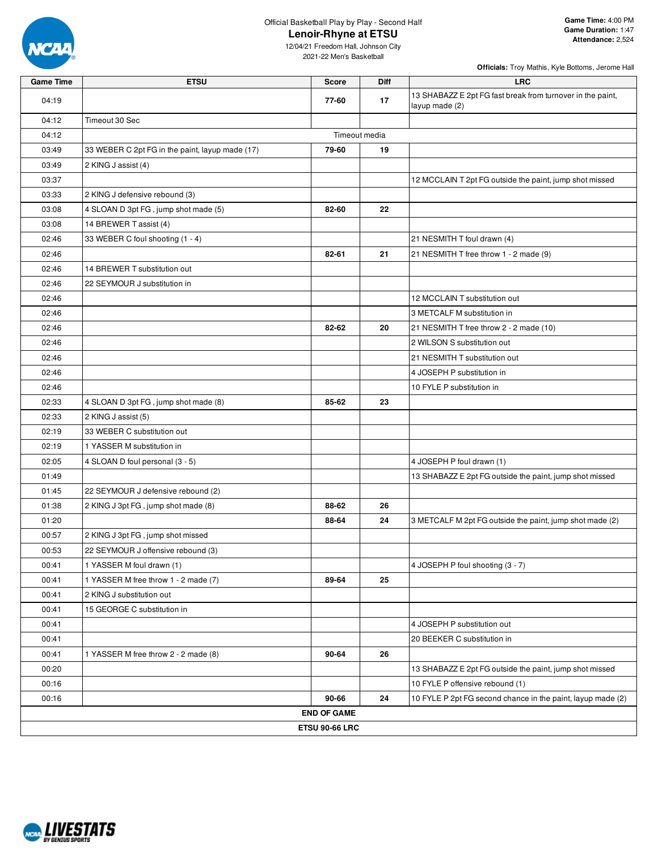

**Officials:** Troy Mathis, Kyle Bottoms, Jerome Hall

| <b>Game Time</b> | <b>ETSU</b>                                     | <b>Score</b>          | <b>Diff</b> | <b>LRC</b>                                                                   |
|------------------|-------------------------------------------------|-----------------------|-------------|------------------------------------------------------------------------------|
| 04:19            |                                                 | 77-60                 | 17          | 13 SHABAZZ E 2pt FG fast break from turnover in the paint,<br>layup made (2) |
| 04:12            | Timeout 30 Sec                                  |                       |             |                                                                              |
| 04:12            |                                                 | Timeout media         |             |                                                                              |
| 03:49            | 33 WEBER C 2pt FG in the paint, layup made (17) | 79-60                 | 19          |                                                                              |
| 03:49            | 2 KING J assist (4)                             |                       |             |                                                                              |
| 03:37            |                                                 |                       |             | 12 MCCLAIN T 2pt FG outside the paint, jump shot missed                      |
| 03:33            | 2 KING J defensive rebound (3)                  |                       |             |                                                                              |
| 03:08            | 4 SLOAN D 3pt FG, jump shot made (5)            | 82-60                 | 22          |                                                                              |
| 03:08            | 14 BREWER T assist (4)                          |                       |             |                                                                              |
| 02:46            | 33 WEBER C foul shooting (1 - 4)                |                       |             | 21 NESMITH T foul drawn (4)                                                  |
| 02:46            |                                                 | 82-61                 | 21          | 21 NESMITH T free throw 1 - 2 made (9)                                       |
| 02:46            | 14 BREWER T substitution out                    |                       |             |                                                                              |
| 02:46            | 22 SEYMOUR J substitution in                    |                       |             |                                                                              |
| 02:46            |                                                 |                       |             | 12 MCCLAIN T substitution out                                                |
| 02:46            |                                                 |                       |             | 3 METCALF M substitution in                                                  |
| 02:46            |                                                 | 82-62                 | 20          | 21 NESMITH T free throw 2 - 2 made (10)                                      |
| 02:46            |                                                 |                       |             | 2 WILSON S substitution out                                                  |
| 02:46            |                                                 |                       |             | 21 NESMITH T substitution out                                                |
| 02:46            |                                                 |                       |             | 4 JOSEPH P substitution in                                                   |
| 02:46            |                                                 |                       |             | 10 FYLE P substitution in                                                    |
| 02:33            | 4 SLOAN D 3pt FG, jump shot made (8)            | 85-62                 | 23          |                                                                              |
| 02:33            | 2 KING J assist (5)                             |                       |             |                                                                              |
| 02:19            | 33 WEBER C substitution out                     |                       |             |                                                                              |
| 02:19            | 1 YASSER M substitution in                      |                       |             |                                                                              |
| 02:05            | 4 SLOAN D foul personal (3 - 5)                 |                       |             | 4 JOSEPH P foul drawn (1)                                                    |
| 01:49            |                                                 |                       |             | 13 SHABAZZ E 2pt FG outside the paint, jump shot missed                      |
| 01:45            | 22 SEYMOUR J defensive rebound (2)              |                       |             |                                                                              |
| 01:38            | 2 KING J 3pt FG, jump shot made (8)             | 88-62                 | 26          |                                                                              |
| 01:20            |                                                 | 88-64                 | 24          | 3 METCALF M 2pt FG outside the paint, jump shot made (2)                     |
| 00:57            | 2 KING J 3pt FG, jump shot missed               |                       |             |                                                                              |
| 00:53            | 22 SEYMOUR J offensive rebound (3)              |                       |             |                                                                              |
| 00:41            | 1 YASSER M foul drawn (1)                       |                       |             | 4 JOSEPH P foul shooting (3 - 7)                                             |
| 00:41            | 1 YASSER M free throw 1 - 2 made (7)            | 89-64                 | 25          |                                                                              |
| 00:41            | 2 KING J substitution out                       |                       |             |                                                                              |
| 00:41            | 15 GEORGE C substitution in                     |                       |             |                                                                              |
| 00:41            |                                                 |                       |             | 4 JOSEPH P substitution out                                                  |
| 00:41            |                                                 |                       |             | 20 BEEKER C substitution in                                                  |
| 00:41            | 1 YASSER M free throw 2 - 2 made (8)            | 90-64                 | 26          |                                                                              |
| 00:20            |                                                 |                       |             | 13 SHABAZZ E 2pt FG outside the paint, jump shot missed                      |
| 00:16            |                                                 |                       |             | 10 FYLE P offensive rebound (1)                                              |
| 00:16            |                                                 | 90-66                 | 24          | 10 FYLE P 2pt FG second chance in the paint, layup made (2)                  |
|                  |                                                 | <b>END OF GAME</b>    |             |                                                                              |
|                  |                                                 | <b>ETSU 90-66 LRC</b> |             |                                                                              |

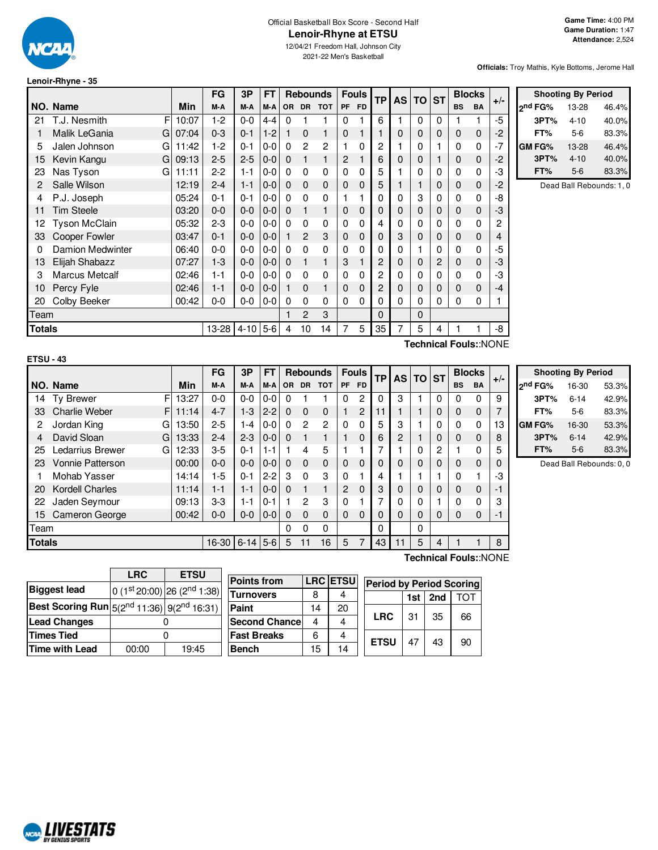

## Official Basketball Box Score - Second Half **Lenoir-Rhyne at ETSU**

12/04/21 Freedom Hall, Johnson City 2021-22 Men's Basketball

#### **Officials:** Troy Mathis, Kyle Bottoms, Jerome Hall

F

**Shooting By Period**

| Lenoir-Rhyne - 35 |  |  |
|-------------------|--|--|
|-------------------|--|--|

|        |                      |       | FG             | 3Р      | FT      |              |               | <b>Rebounds</b> |              | <b>Fouls</b> | <b>TP</b> | AS I     | $TO$ ST  |   |             | <b>Blocks</b> | $+/-$ |               | <b>Shooting By Period</b> |                          |
|--------|----------------------|-------|----------------|---------|---------|--------------|---------------|-----------------|--------------|--------------|-----------|----------|----------|---|-------------|---------------|-------|---------------|---------------------------|--------------------------|
|        | NO. Name             | Min   | M-A            | M-A     | M-A     |              |               | OR DR TOT       | <b>PF</b>    | <b>FD</b>    |           |          |          |   | <b>BS</b>   | <b>BA</b>     |       | 2nd FG%       | 13-28                     | 46.4%                    |
| 21     | F<br>T.J. Nesmith    | 10:07 | $1-2$          | $0-0$   | $4 - 4$ | $\Omega$     |               |                 | 0            |              | 6         |          | $\Omega$ | 0 |             |               | $-5$  | 3PT%          | $4 - 10$                  | 40.0%                    |
|        | Malik LeGania<br>Gl  | 07:04 | $0 - 3$        | $0 - 1$ | $1 - 2$ |              | $\mathbf 0$   |                 | 0            |              |           | 0        | 0        | 0 | 0           | $\Omega$      | -2    | FT%           | $5-6$                     | 83.3%                    |
| 5      | Jalen Johnson<br>GI  | 11:42 | $1-2$          | $0 - 1$ | $0-0$   | 0            | 2             | 2               |              | 0            | 2         |          |          |   | 0           | 0             | $-7$  | <b>GM FG%</b> | 13-28                     | 46.4%                    |
| 15     | Kevin Kangu<br>Gl    | 09:13 | $2 - 5$        | $2 - 5$ | $0-0$   | $\Omega$     |               |                 | 2            |              | 6         | $\Omega$ |          |   | 0           | 0             | $-2$  | 3PT%          | $4 - 10$                  | 40.0%                    |
| 23     | Nas Tyson<br>GI      | 11:11 | $2 - 2$        | $1 - 1$ | $0 - 0$ | $\Omega$     | 0             | 0               | 0            | 0            | 5         |          |          | 0 | $\Omega$    | 0             | -3    | FT%           | $5-6$                     | 83.3%                    |
|        | Salle Wilson         | 12:19 | $2 - 4$        | $1 - 1$ | $0-0$   | $\mathbf{0}$ | $\mathbf 0$   | $\mathbf{0}$    | $\mathbf 0$  | $\mathbf 0$  | 5         |          |          | 0 | $\mathbf 0$ | $\mathbf 0$   | $-2$  |               |                           | Dead Ball Rebounds: 1, 0 |
|        | P.J. Joseph          | 05:24 | $0 - 1$        | $0 - 1$ | $0-0$   | $\Omega$     | 0             | 0               |              |              | 0         | 0        | 3        | 0 | $\Omega$    | $\Omega$      | -8    |               |                           |                          |
| 11     | <b>Tim Steele</b>    | 03:20 | $0-0$          | $0-0$   | $0-0$   | 0            |               |                 | $\mathbf{0}$ | 0            | 0         | 0        | 0        | 0 | 0           | 0             | -3    |               |                           |                          |
| 12     | <b>Tyson McClain</b> | 05:32 | $2 - 3$        | $0-0$   | $0-0$   | $\Omega$     | 0             | 0               | 0            | 0            |           | 0        |          | 0 | 0           | 0             | 2     |               |                           |                          |
| 33     | Cooper Fowler        | 03:47 | $0 - 1$        | $0-0$   | $0 - 0$ |              | 2             | 3               | $\mathbf 0$  | 0            |           | 3        |          | 0 | $\mathbf 0$ | 0             | 4     |               |                           |                          |
|        | Damion Medwinter     | 06:40 | $0-0$          | $0-0$   | $0-0$   | $\Omega$     | 0             | 0               | 0            | 0            |           | 0        |          |   | 0           | 0             | -5    |               |                           |                          |
| 13     | Elijah Shabazz       | 07:27 | $1 - 3$        | $0-0$   | $ 0-0 $ | $\mathbf{0}$ |               |                 | 3            |              | 2         | 0        | 0        | 2 | $\mathbf 0$ | 0             | -3    |               |                           |                          |
| 3      | Marcus Metcalf       | 02:46 | $1 - 1$        | $0-0$   | $0-0$   | $\Omega$     | $\Omega$      | $\Omega$        | 0            | 0            | 2         | 0        |          | 0 | 0           | 0             | -3    |               |                           |                          |
| 10     | Percy Fyle           | 02:46 | $1 - 1$        | $0-0$   | $0-0$   |              | $\mathbf 0$   |                 | 0            | 0            | 2         | 0        | 0        | 0 | 0           | 0             | $-4$  |               |                           |                          |
| 20     | Colby Beeker         | 00:42 | $0-0$          | $0-0$   | $0-0$   | 0            | 0             | 0               | 0            | 0            | 0         | 0        |          | 0 | $\Omega$    | 0             |       |               |                           |                          |
| Team   |                      |       |                |         |         |              | $\mathcal{P}$ | 3               |              |              | $\Omega$  |          | 0        |   |             |               |       |               |                           |                          |
| Totals |                      |       | 13-28 4-10 5-6 |         |         | 4            | 10            | 14              | 7            | 5            | 35        | 7        | 5        | 4 |             |               | -8    |               |                           |                          |
|        |                      |       |                |         |         |              |               |                 |              |              |           |          |          |   |             |               |       |               |                           |                          |

**Technical Fouls:**:NONE

|               | <b>ETSU - 43</b>       |       |           |          |           |           |                 |                |              |             |           |           |           |                |             |               |       |
|---------------|------------------------|-------|-----------|----------|-----------|-----------|-----------------|----------------|--------------|-------------|-----------|-----------|-----------|----------------|-------------|---------------|-------|
|               |                        |       | <b>FG</b> | 3P       | <b>FT</b> |           | <b>Rebounds</b> |                | <b>Fouls</b> |             | <b>TP</b> | <b>AS</b> | <b>TO</b> | <b>ST</b>      |             | <b>Blocks</b> |       |
|               | NO. Name               | Min   | M-A       | M-A      | M-A       | <b>OR</b> | <b>DR</b>       | <b>TOT</b>     | PF           | FD.         |           |           |           |                | <b>BS</b>   | <b>BA</b>     | $+/-$ |
| 14            | F<br>Ty Brewer         | 13:27 | $0 - 0$   | $0-0$    | $0-0$     | 0         |                 |                | 0            | 2           | 0         | 3         |           | 0              | 0           | 0             | 9     |
| 33            | Charlie Weber<br>F     | 11:14 | $4 - 7$   | $1 - 3$  | $2 - 2$   | $\Omega$  | $\Omega$        | $\mathbf 0$    | 1            | 2           | 11        |           |           | 0              | $\mathbf 0$ | $\mathbf 0$   | 7     |
| 2             | G<br>Jordan King       | 13:50 | $2 - 5$   | $1 - 4$  | $0-0$     | 0         | 2               | $\overline{c}$ | $\Omega$     | $\Omega$    | 5         | 3         |           | 0              | $\Omega$    | 0             | 13    |
| 4             | David Sloan<br>G       | 13:33 | $2 - 4$   | $2-3$    | $0 - 0$   | $\Omega$  |                 | 1              |              | $\Omega$    | 6         | 2         |           | $\Omega$       | 0           | $\Omega$      | 8     |
| 25            | Ledarrius Brewer<br>G  | 12:33 | $3-5$     | $0 - 1$  | $1 - 1$   |           | 4               | 5              |              |             |           |           | 0         | $\overline{2}$ |             | $\Omega$      | 5     |
| 23            | Vonnie Patterson       | 00:00 | $0 - 0$   | $0 - 0$  | $0 - 0$   | $\Omega$  | $\Omega$        | $\mathbf 0$    | $\Omega$     | $\Omega$    | 0         | 0         | 0         | 0              | $\Omega$    | $\Omega$      | 0     |
|               | Mohab Yasser           | 14:14 | $1-5$     | $0 - 1$  | $2 - 2$   | 3         | 0               | 3              | $\Omega$     |             | 4         |           |           |                | 0           | 1             | -3    |
| 20            | <b>Kordell Charles</b> | 11:14 | $1 - 1$   | $1 - 1$  | $0 - 0$   | $\Omega$  |                 | $\mathbf{1}$   | 2            | $\mathbf 0$ | 3         | 0         | 0         | 0              | $\mathbf 0$ | $\mathbf 0$   | -1    |
| 22            | Jaden Seymour          | 09:13 | $3-3$     | $1 - 1$  | $0 - 1$   |           | 2               | 3              | 0            |             | 7         | 0         | 0         |                | 0           | $\Omega$      | 3     |
| 15            | Cameron George         | 00:42 | $0 - 0$   | $0 - 0$  | $0 - 0$   | $\Omega$  | $\Omega$        | 0              | $\Omega$     | $\Omega$    | $\Omega$  | 0         | 0         | 0              | $\Omega$    | $\Omega$      | -1    |
| Team          |                        |       |           |          |           | 0         | 0               | 0              |              |             | $\Omega$  |           | 0         |                |             |               |       |
| <b>Totals</b> |                        |       | 16-30     | $6 - 14$ | $5-6$     | 5         |                 | 16             | 5            | 7           | 43        | 11        | 5         | 4              |             |               | 8     |

|                     | <b>Shooting By Period</b> |       |
|---------------------|---------------------------|-------|
| 2 <sup>nd</sup> FG% | 16-30                     | 53.3% |
| 3PT%                | $6 - 14$                  | 42.9% |
| FT%                 | 5-6                       | 83.3% |
| <b>GM FG%</b>       | 16-30                     | 53.3% |
| 3PT%                | $6 - 14$                  | 42.9% |
| FT%                 | $5-6$                     | 83.3% |

Dead Ball Rebounds: 0, 0

|                                                                    | <b>LRC</b> | <b>ETSU</b>                             |  |  |  |  |  |
|--------------------------------------------------------------------|------------|-----------------------------------------|--|--|--|--|--|
| <b>Biggest lead</b>                                                |            | 0 (1st 20:00) 26 (2 <sup>nd</sup> 1:38) |  |  |  |  |  |
| <b>Best Scoring Run</b> $5(2^{nd} 11:36)$ 9(2 <sup>nd</sup> 16:31) |            |                                         |  |  |  |  |  |
| <b>Lead Changes</b>                                                |            |                                         |  |  |  |  |  |
| <b>Times Tied</b>                                                  |            |                                         |  |  |  |  |  |
| <b>Time with Lead</b>                                              | 00:00      | 19:45                                   |  |  |  |  |  |

| <b>LRC ETSU</b><br>Points from<br><b>Period by Period Scoring</b> |  |
|-------------------------------------------------------------------|--|
| Turnovers<br>2nd<br>тот<br>1st                                    |  |
| Paint<br>20<br>14                                                 |  |
| <b>LRC</b><br>31<br>35<br>66<br><b>Second Chancel</b><br>4        |  |
| <b>Fast Breaks</b><br>6<br>47                                     |  |
| <b>ETSU</b><br>43<br>90<br>Bench<br>15<br>14                      |  |

**Technical Fouls:**:NONE

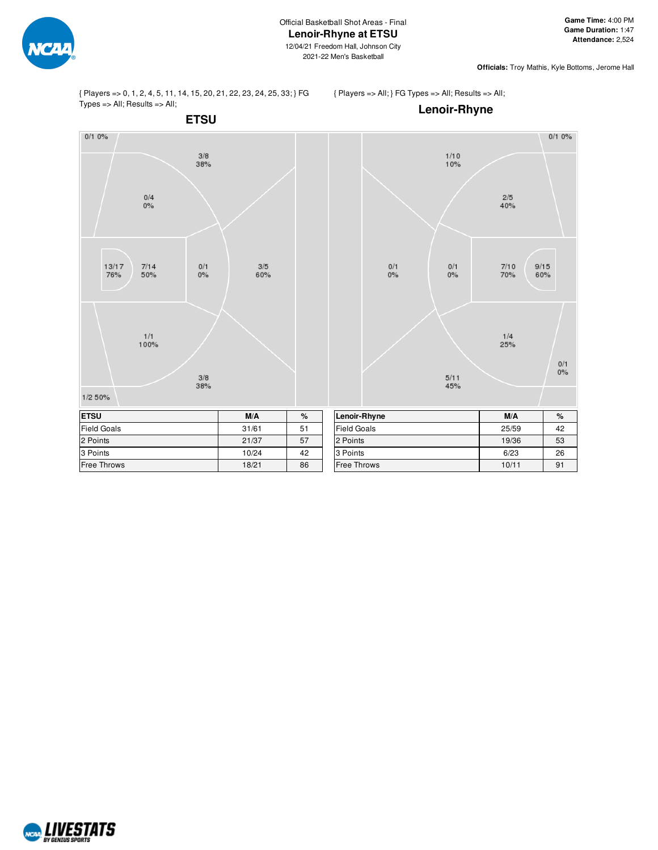

**Officials:** Troy Mathis, Kyle Bottoms, Jerome Hall

{ Players => 0, 1, 2, 4, 5, 11, 14, 15, 20, 21, 22, 23, 24, 25, 33; } FG Types => All; Results => All;

{ Players => All; } FG Types => All; Results => All;



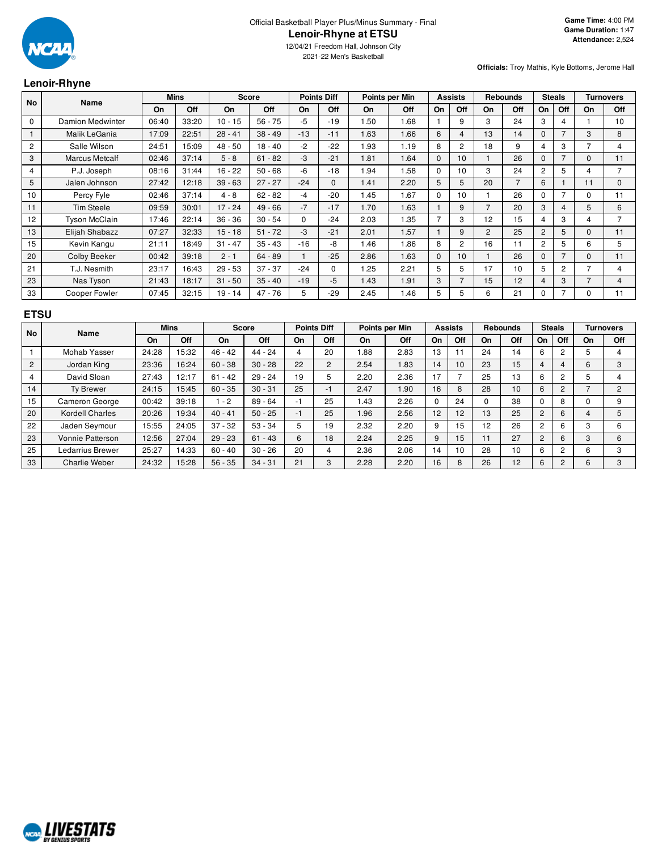

2021-22 Men's Basketball

#### **Lenoir-Rhyne**

**Officials:** Troy Mathis, Kyle Bottoms, Jerome Hall

| No             | <b>Name</b>           |       | <b>Mins</b> |           | <b>Score</b> |              | <b>Points Diff</b> |           | Points per Min |          | <b>Assists</b> |                | <b>Rebounds</b> | <b>Steals</b>  |                |                | <b>Turnovers</b> |
|----------------|-----------------------|-------|-------------|-----------|--------------|--------------|--------------------|-----------|----------------|----------|----------------|----------------|-----------------|----------------|----------------|----------------|------------------|
|                |                       | On    | Off         | On        | Off          | <b>On</b>    | Off                | <b>On</b> | Off            | On       | Off            | On             | Off             | On             | Off            | On             | Off              |
| 0              | Damion Medwinter      | 06:40 | 33:20       | $10 - 15$ | $56 - 75$    | $-5$         | $-19$              | 1.50      | 1.68           |          | 9              | 3              | 24              | 3              | 4              |                | 10               |
|                | Malik LeGania         | 17:09 | 22:51       | $28 - 41$ | $38 - 49$    | $-13$        | $-11$              | 1.63      | 1.66           | 6        | 4              | 13             | 14              | $\Omega$       | 7              | 3              | 8                |
| $\overline{2}$ | Salle Wilson          | 24:51 | 15:09       | $48 - 50$ | $18 - 40$    | $-2$         | $-22$              | 1.93      | 1.19           | 8        | $\overline{2}$ | 18             | 9               | 4              | 3              |                | 4                |
| 3              | <b>Marcus Metcalf</b> | 02:46 | 37:14       | $5 - 8$   | $61 - 82$    | $-3$         | $-21$              | 1.81      | 1.64           | $\Omega$ | 10             |                | 26              | $\Omega$       | $\overline{7}$ | $\Omega$       | 11               |
| 4              | P.J. Joseph           | 08:16 | 31:44       | $16 - 22$ | $50 - 68$    | -6           | $-18$              | 1.94      | 1.58           | $\Omega$ | 10             | 3              | 24              | $\overline{2}$ | 5              | 4              |                  |
| 5              | Jalen Johnson         | 27:42 | 12:18       | $39 - 63$ | $27 - 27$    | $-24$        | $\mathbf{0}$       | 1.41      | 2.20           | 5        | 5              | 20             | $\overline{7}$  | 6              |                | 11             | $\mathbf{0}$     |
| 10             | Percy Fyle            | 02:46 | 37:14       | $4 - 8$   | $62 - 82$    | $-4$         | $-20$              | 1.45      | 1.67           | $\Omega$ | 10             |                | 26              | $\Omega$       | 7              | $\Omega$       | 11               |
| 11             | <b>Tim Steele</b>     | 09:59 | 30:01       | $17 - 24$ | $49 - 66$    | $-7$         | $-17$              | 1.70      | 1.63           |          | 9              | 7              | 20              | 3              | 4              | 5              | 6                |
| 12             | <b>Tyson McClain</b>  | 17:46 | 22:14       | $36 - 36$ | $30 - 54$    | $\mathbf{0}$ | $-24$              | 2.03      | 1.35           |          | 3              | 12             | 15              | 4              | 3              | 4              |                  |
| 13             | Elijah Shabazz        | 07:27 | 32:33       | $15 - 18$ | $51 - 72$    | -3           | $-21$              | 2.01      | 1.57           |          | 9              | $\overline{2}$ | 25              | $\overline{2}$ | 5              | $\Omega$       | 11               |
| 15             | Kevin Kangu           | 21:11 | 18:49       | $31 - 47$ | $35 - 43$    | $-16$        | -8                 | 1.46      | 1.86           | 8        | $\overline{2}$ | 16             | 11              | $\overline{2}$ | 5              | 6              | 5                |
| 20             | Colby Beeker          | 00:42 | 39:18       | $2 - 1$   | $64 - 89$    |              | $-25$              | 2.86      | 1.63           | $\Omega$ | 10             |                | 26              | $\Omega$       | $\overline{7}$ | $\Omega$       | 11               |
| 21             | T.J. Nesmith          | 23:17 | 16:43       | $29 - 53$ | $37 - 37$    | $-24$        | 0                  | 1.25      | 2.21           | 5        | 5              | 17             | 10              | 5              | $\overline{c}$ |                | 4                |
| 23             | Nas Tyson             | 21:43 | 18:17       | $31 - 50$ | $35 - 40$    | $-19$        | -5                 | 1.43      | 1.91           | 3        |                | 15             | 12              | 4              | 3              | $\overline{7}$ | 4                |
| 33             | Cooper Fowler         | 07:45 | 32:15       | $19 - 14$ | $47 - 76$    | 5            | $-29$              | 2.45      | 1.46           | 5        | 5              | 6              | 21              | $\Omega$       | 7              | $\Omega$       | 11               |
|                |                       |       |             |           |              |              |                    |           |                |          |                |                |                 |                |                |                |                  |

#### **ETSU**

| <b>No</b> | <b>Name</b>          |       | <b>Mins</b> | <b>Score</b> |           |      | <b>Points Diff</b> |           | Points per Min |          | <b>Assists</b> |          | <b>Rebounds</b> |                | <b>Steals</b> |    | <b>Turnovers</b> |
|-----------|----------------------|-------|-------------|--------------|-----------|------|--------------------|-----------|----------------|----------|----------------|----------|-----------------|----------------|---------------|----|------------------|
|           |                      | On    | Off         | On           | Off       | On   | Off                | <b>On</b> | Off            | On       | Off            | On       | Off             | On             | Off           | On | Off              |
|           | Mohab Yasser         | 24:28 | 15:32       | $46 - 42$    | $44 - 24$ | 4    | 20                 | 1.88      | 2.83           | 13       |                | 24       | 14              | 6              |               | 5  |                  |
| 2         | Jordan King          | 23:36 | 16:24       | $60 - 38$    | $30 - 28$ | 22   | $\overline{2}$     | 2.54      | 1.83           | 14       | 10             | 23       | 15              | 4              |               | 6  | 3                |
| 4         | David Sloan          | 27:43 | 12:17       | $-42$<br>61  | $29 - 24$ | 19   | 5                  | 2.20      | 2.36           | 17       |                | 25       | 13              | 6              |               | 5  |                  |
| 14        | <b>Tv Brewer</b>     | 24:15 | 15:45       | $60 - 35$    | $30 - 31$ | 25   | $-1$               | 2.47      | <b>.90</b>     | 16       | 8              | 28       | 10              | 6              |               |    | 2                |
| 15        | Cameron George       | 00:42 | 39:18       | $-2$         | $89 - 64$ | -1   | 25                 | 1.43      | 2.26           | $\Omega$ | 24             | $\Omega$ | 38              | $\Omega$       | 8             |    | 9                |
| 20        | Kordell Charles      | 20:26 | 19:34       | $40 - 41$    | $50 - 25$ | $-1$ | 25                 | 1.96      | 2.56           | 12       | 12             | 13       | 25              | $\overline{2}$ | 6             |    | 5                |
| 22        | Jaden Seymour        | 15:55 | 24:05       | $37 - 32$    | $53 - 34$ | 5    | 19                 | 2.32      | 2.20           | 9        | 15             | 12       | 26              | $\overline{2}$ |               | 3  | 6                |
| 23        | Vonnie Patterson     | 12:56 | 27:04       | $29 - 23$    | $61 - 43$ | 6    | 18                 | 2.24      | 2.25           | 9        | 15             |          | 27              | $\overline{2}$ |               | 3  | 6                |
| 25        | Ledarrius Brewer     | 25:27 | 14:33       | $60 - 40$    | $30 - 26$ | 20   | 4                  | 2.36      | 2.06           | 14       | 10             | 28       | 10              | 6              |               | 6  | 3                |
| 33        | <b>Charlie Weber</b> | 24:32 | 15:28       | $56 - 35$    | $34 - 31$ | 21   |                    | 2.28      | 2.20           | 16       | 8              | 26       | 12              | 6              |               | 6  | 3                |

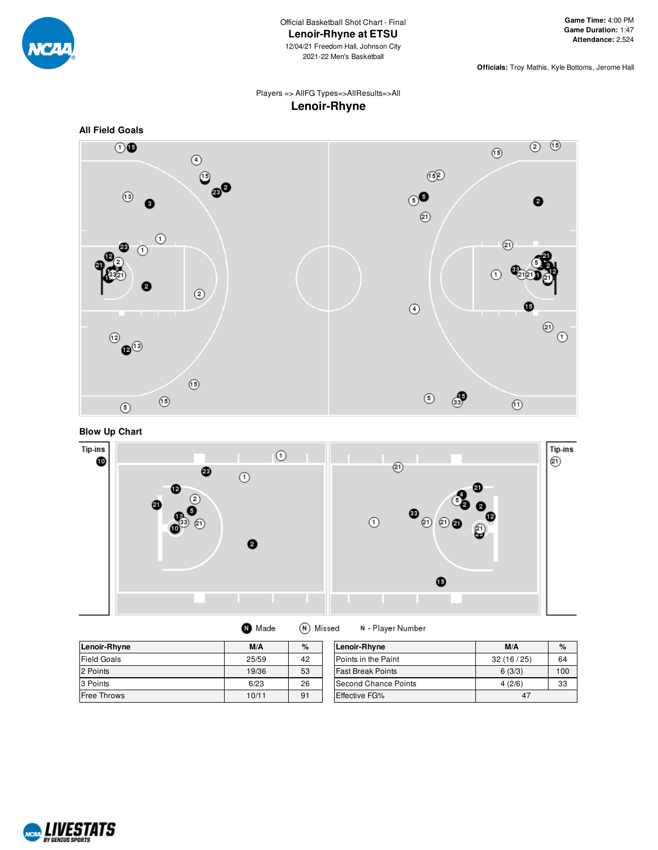

**Officials:** Troy Mathis, Kyle Bottoms, Jerome Hall

#### Players => AllFG Types=>AllResults=>All **Lenoir-Rhyne**



**Blow Up Chart**



| Lenoir-Rhyne       | M/A   | %  | Lenoir-Rhyne             | M/A       | %   |
|--------------------|-------|----|--------------------------|-----------|-----|
| <b>Field Goals</b> | 25/59 | 42 | Points in the Paint      | 32(16/25) | 64  |
| 2 Points           | 19/36 | 53 | <b>Fast Break Points</b> | 6(3/3)    | 100 |
| 3 Points           | 6/23  | 26 | Second Chance Points     | 4(2/6)    | 33  |
| <b>Free Throws</b> | 10/11 | 91 | <b>Effective FG%</b>     | 47        |     |

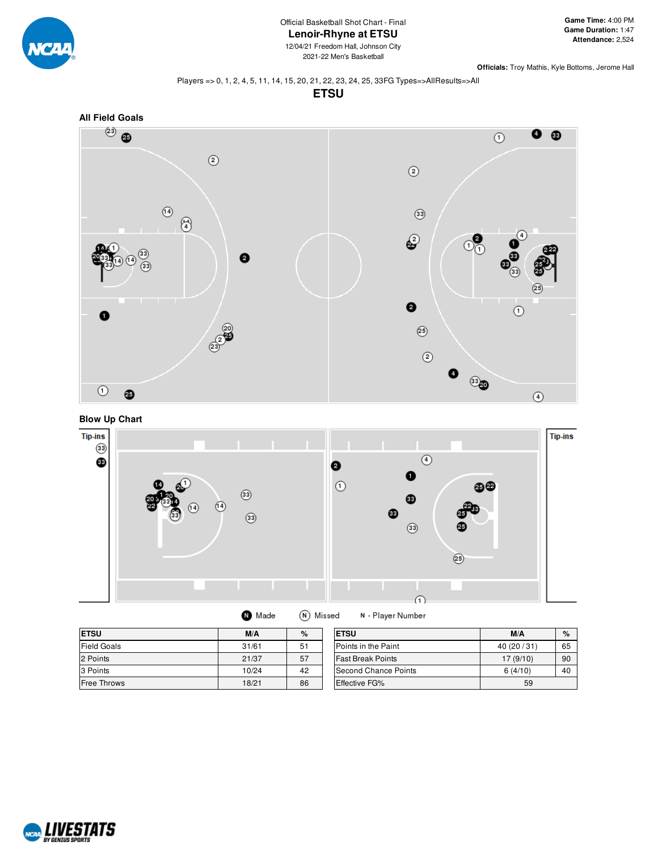

2021-22 Men's Basketball

**Officials:** Troy Mathis, Kyle Bottoms, Jerome Hall

#### Players => 0, 1, 2, 4, 5, 11, 14, 15, 20, 21, 22, 23, 24, 25, 33FG Types=>AllResults=>All

**ETSU**







| Made | (N) Missed |
|------|------------|
|      |            |

N - Player Number

| <b>ETSU</b>        | M/A   | %  | <b>ETSU</b>                 | M/A       | $\%$ |
|--------------------|-------|----|-----------------------------|-----------|------|
| <b>Field Goals</b> | 31/61 | 51 | <b>IPoints in the Paint</b> | 40(20/31) | 65   |
| 2 Points           | 21/37 | 57 | <b>Fast Break Points</b>    | 17(9/10)  | 90   |
| 3 Points           | 10/24 | 42 | Second Chance Points        | 6(4/10)   | 40   |
| <b>Free Throws</b> | 18/21 | 86 | Effective FG%               | 59        |      |

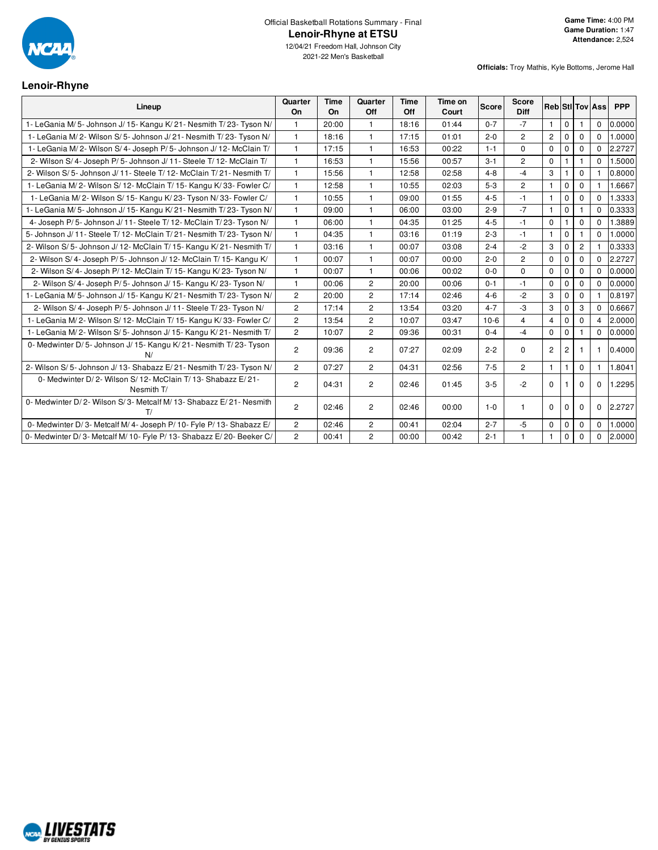

#### **Lenoir-Rhyne**

| Lineup                                                                   | Quarter<br>On  | <b>Time</b><br>On | Quarter<br>Off | <b>Time</b><br>Off | Time on<br>Court | <b>Score</b> | <b>Score</b><br><b>Diff</b> |                |                |                | <b>Reb</b> StilTov Ass | <b>PPP</b> |
|--------------------------------------------------------------------------|----------------|-------------------|----------------|--------------------|------------------|--------------|-----------------------------|----------------|----------------|----------------|------------------------|------------|
| 1- LeGania M/5- Johnson J/15- Kangu K/21- Nesmith T/23- Tyson N/         |                | 20:00             | 1              | 18:16              | 01:44            | $0 - 7$      | $-7$                        | -1             | $\Omega$       |                | $\Omega$               | 0.0000     |
| 1- LeGania M/2- Wilson S/5- Johnson J/21- Nesmith T/23- Tyson N/         | $\overline{1}$ | 18:16             | 1              | 17:15              | 01:01            | $2 - 0$      | $\overline{c}$              | $\overline{c}$ | $\mathbf 0$    | $\mathbf 0$    | $\Omega$               | 1.0000     |
| 1- LeGania M/2- Wilson S/4- Joseph P/5- Johnson J/12- McClain T/         | $\mathbf{1}$   | 17:15             | $\mathbf{1}$   | 16:53              | 00:22            | $1 - 1$      | $\Omega$                    | $\Omega$       | $\mathbf{0}$   | $\mathbf 0$    | $\Omega$               | 2.2727     |
| 2- Wilson S/4- Joseph P/5- Johnson J/11- Steele T/12- McClain T/         | $\mathbf{1}$   | 16:53             | $\overline{1}$ | 15:56              | 00:57            | $3 - 1$      | $\overline{c}$              | $\mathbf 0$    |                |                | $\Omega$               | 1.5000     |
| 2- Wilson S/5- Johnson J/11- Steele T/12- McClain T/21- Nesmith T/       | $\mathbf{1}$   | 15:56             | $\mathbf{1}$   | 12:58              | 02:58            | $4 - 8$      | $-4$                        | 3              |                | $\Omega$       |                        | 0.8000     |
| 1- LeGania M/2- Wilson S/12- McClain T/15- Kangu K/33- Fowler C/         | $\overline{1}$ | 12:58             | $\mathbf{1}$   | 10:55              | 02:03            | $5 - 3$      | $\overline{2}$              | $\mathbf{1}$   | $\mathbf 0$    | $\Omega$       |                        | 1.6667     |
| 1- LeGania M/2- Wilson S/15- Kangu K/23- Tyson N/33- Fowler C/           | $\overline{1}$ | 10:55             | $\mathbf{1}$   | 09:00              | 01:55            | $4 - 5$      | $-1$                        | $\mathbf{1}$   | $\mathbf 0$    | $\mathbf 0$    | $\Omega$               | 1.3333     |
| 1- LeGania M/ 5- Johnson J/ 15- Kangu K/ 21- Nesmith T/ 23- Tyson N/     | $\overline{1}$ | 09:00             | $\mathbf{1}$   | 06:00              | 03:00            | $2-9$        | $-7$                        | $\mathbf{1}$   | $\mathbf 0$    |                | $\Omega$               | 0.3333     |
| 4- Joseph P/5- Johnson J/11- Steele T/12- McClain T/23- Tyson N/         | $\overline{1}$ | 06:00             | $\mathbf{1}$   | 04:35              | 01:25            | $4 - 5$      | $-1$                        | $\mathbf 0$    |                | $\Omega$       | $\Omega$               | 1.3889     |
| 5- Johnson J/ 11- Steele T/ 12- McClain T/ 21- Nesmith T/ 23- Tyson N/   | $\mathbf{1}$   | 04:35             | $\mathbf{1}$   | 03:16              | 01:19            | $2 - 3$      | $-1$                        | $\mathbf{1}$   | $\mathbf 0$    | 1              | $\Omega$               | 1.0000     |
| 2- Wilson S/5- Johnson J/12- McClain T/15- Kangu K/21- Nesmith T/        | $\overline{1}$ | 03:16             | $\mathbf{1}$   | 00:07              | 03:08            | $2 - 4$      | $-2$                        | 3              | $\Omega$       | $\overline{2}$ |                        | 0.3333     |
| 2- Wilson S/4- Joseph P/5- Johnson J/12- McClain T/15- Kangu K/          | $\overline{1}$ | 00:07             | $\mathbf{1}$   | 00:07              | 00:00            | $2 - 0$      | $\overline{c}$              | $\Omega$       | $\mathbf 0$    | $\Omega$       | $\Omega$               | 2.2727     |
| 2- Wilson S/4- Joseph P/12- McClain T/15- Kangu K/23- Tyson N/           | $\overline{1}$ | 00:07             | $\mathbf{1}$   | 00:06              | 00:02            | $0-0$        | $\Omega$                    | $\mathbf 0$    | $\mathbf 0$    | $\mathbf 0$    | $\Omega$               | 0.0000     |
| 2- Wilson S/4- Joseph P/5- Johnson J/15- Kangu K/23- Tyson N/            | $\mathbf{1}$   | 00:06             | $\overline{2}$ | 20:00              | 00:06            | $0 - 1$      | $-1$                        | $\Omega$       | $\Omega$       | $\Omega$       | $\Omega$               | 0.0000     |
| 1- LeGania M/5- Johnson J/15- Kangu K/21- Nesmith T/23- Tyson N/         | $\overline{c}$ | 20:00             | $\overline{c}$ | 17:14              | 02:46            | $4 - 6$      | $-2$                        | 3              | $\mathbf 0$    | $\mathbf 0$    |                        | 0.8197     |
| 2- Wilson S/4- Joseph P/5- Johnson J/11- Steele T/23- Tyson N/           | $\overline{2}$ | 17:14             | $\overline{c}$ | 13:54              | 03:20            | $4 - 7$      | -3                          | 3              | $\Omega$       | 3              | $\Omega$               | 0.6667     |
| 1- LeGania M/2- Wilson S/12- McClain T/15- Kangu K/33- Fowler C/         | $\overline{c}$ | 13:54             | $\overline{2}$ | 10:07              | 03:47            | $10-6$       | $\overline{4}$              | $\overline{4}$ | $\mathbf 0$    | $\mathbf 0$    | $\overline{4}$         | 2.0000     |
| 1- LeGania M/2- Wilson S/5- Johnson J/15- Kangu K/21- Nesmith T/         | $\overline{2}$ | 10:07             | $\overline{c}$ | 09:36              | 00:31            | $0 - 4$      | $-4$                        | $\mathbf 0$    | $\Omega$       |                | $\Omega$               | 0.0000     |
| 0- Medwinter D/5- Johnson J/15- Kangu K/21- Nesmith T/23- Tyson<br>N/    | $\overline{c}$ | 09:36             | $\overline{2}$ | 07:27              | 02:09            | $2 - 2$      | $\mathbf 0$                 | $\overline{2}$ | $\overline{2}$ |                | -1                     | 0.4000     |
| 2- Wilson S/5- Johnson J/13- Shabazz E/21- Nesmith T/23- Tyson N/        | $\overline{2}$ | 07:27             | $\overline{2}$ | 04:31              | 02:56            | $7 - 5$      | $\overline{2}$              | $\mathbf{1}$   | 1              | $\mathbf 0$    | $\mathbf{1}$           | 1.8041     |
| 0- Medwinter D/2- Wilson S/12- McClain T/13- Shabazz E/21-<br>Nesmith T/ | $\overline{c}$ | 04:31             | 2              | 02:46              | 01:45            | $3 - 5$      | $-2$                        | $\Omega$       |                | $\Omega$       | $\mathbf 0$            | 1.2295     |
| 0- Medwinter D/2- Wilson S/3- Metcalf M/13- Shabazz E/21- Nesmith<br>T/  | $\overline{2}$ | 02:46             | $\overline{c}$ | 02:46              | 00:00            | $1 - 0$      |                             | $\Omega$       | $\Omega$       | $\Omega$       | $\Omega$               | 2.2727     |
| 0- Medwinter D/3- Metcalf M/4- Joseph P/10- Fyle P/13- Shabazz E/        | $\overline{2}$ | 02:46             | $\overline{2}$ | 00:41              | 02:04            | $2 - 7$      | $-5$                        | $\mathbf 0$    | $\mathbf 0$    | $\mathbf 0$    | $\Omega$               | 1.0000     |
| 0- Medwinter D/3- Metcalf M/10- Fyle P/13- Shabazz E/20- Beeker C/       | 2              | 00:41             | $\overline{c}$ | 00:00              | 00:42            | $2 - 1$      |                             | $\mathbf{1}$   | $\Omega$       | $\Omega$       | $\Omega$               | 2.0000     |

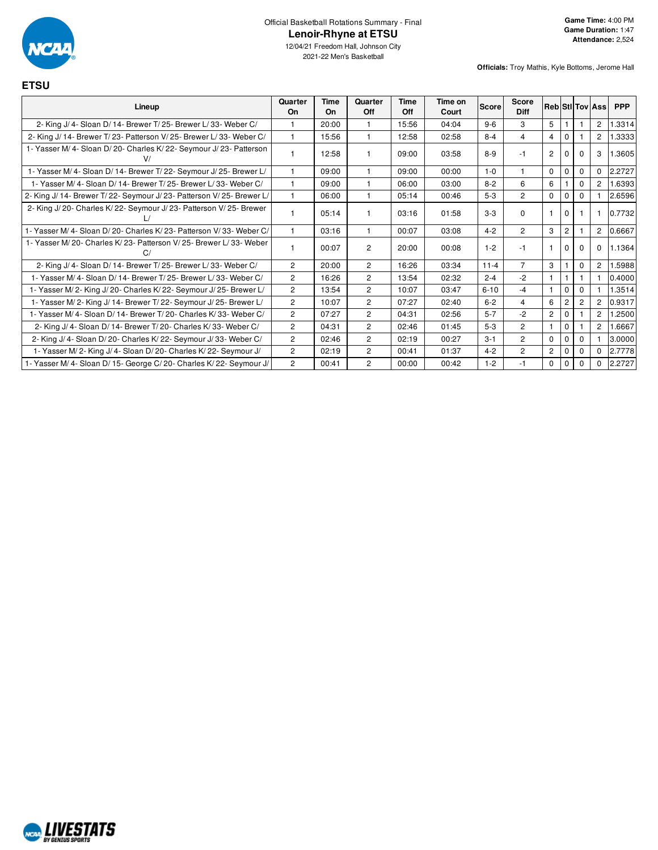

## Official Basketball Rotations Summary - Final **Lenoir-Rhyne at ETSU**

**Officials:** Troy Mathis, Kyle Bottoms, Jerome Hall

| <b>ETSU</b>                                                            |                |                   |                |             |                  |          |                             |                |                |          |                        |            |
|------------------------------------------------------------------------|----------------|-------------------|----------------|-------------|------------------|----------|-----------------------------|----------------|----------------|----------|------------------------|------------|
| Lineup                                                                 | Quarter<br>On  | <b>Time</b><br>On | Quarter<br>Off | Time<br>Off | Time on<br>Court | Score    | <b>Score</b><br><b>Diff</b> |                |                |          | <b>Reb</b> StilTov Ass | <b>PPP</b> |
| 2- King J/4- Sloan D/14- Brewer T/25- Brewer L/33- Weber C/            |                | 20:00             |                | 15:56       | 04:04            | $9 - 6$  | 3                           | 5              |                |          | $\overline{c}$         | 1.3314     |
| 2- King J/ 14- Brewer T/ 23- Patterson V/ 25- Brewer L/ 33- Weber C/   | 1              | 15:56             | 1              | 12:58       | 02:58            | $8 - 4$  | 4                           | $\overline{4}$ | $\Omega$       |          | $\overline{c}$         | 1.3333     |
| 1- Yasser M/4- Sloan D/20- Charles K/22- Seymour J/23- Patterson       |                | 12:58             | 1              | 09:00       | 03:58            | $8-9$    | $-1$                        | $\overline{c}$ | 0              | $\Omega$ | 3                      | 1.3605     |
| 1- Yasser M/4- Sloan D/14- Brewer T/22- Seymour J/25- Brewer L/        |                | 09:00             |                | 09:00       | 00:00            | $1 - 0$  |                             | $\Omega$       | $\Omega$       | $\Omega$ | $\Omega$               | 2.2727     |
| 1- Yasser M/ 4- Sloan D/ 14- Brewer T/ 25- Brewer L/ 33- Weber C/      |                | 09:00             | 1              | 06:00       | 03:00            | $8 - 2$  | 6                           | 6              |                | $\Omega$ | $\overline{2}$         | 1.6393     |
| 2- King J/ 14- Brewer T/ 22- Seymour J/ 23- Patterson V/ 25- Brewer L/ |                | 06:00             | 1              | 05:14       | 00:46            | $5-3$    | $\overline{2}$              | $\Omega$       | $\Omega$       | $\Omega$ |                        | 2.6596     |
| 2- King J/20- Charles K/22- Seymour J/23- Patterson V/25- Brewer       |                | 05:14             |                | 03:16       | 01:58            | $3-3$    | $\Omega$                    |                | $\Omega$       |          |                        | 0.7732     |
| 1- Yasser M/ 4- Sloan D/ 20- Charles K/ 23- Patterson V/ 33- Weber C/  |                | 03:16             | 1              | 00:07       | 03:08            | $4 - 2$  | $\overline{2}$              | 3              | $\overline{2}$ |          | $\overline{2}$         | 0.6667     |
| 1- Yasser M/20- Charles K/23- Patterson V/25- Brewer L/33- Weber<br>C  |                | 00:07             | $\overline{c}$ | 20:00       | 00:08            | $1 - 2$  | $-1$                        |                | $\Omega$       | $\Omega$ | 0                      | 1.1364     |
| 2- King J/4- Sloan D/14- Brewer T/25- Brewer L/33- Weber C/            | $\overline{2}$ | 20:00             | $\overline{2}$ | 16:26       | 03:34            | $11 - 4$ | $\overline{7}$              | 3              |                | $\Omega$ | $\overline{c}$         | 1.5988     |
| 1- Yasser M/ 4- Sloan D/ 14- Brewer T/ 25- Brewer L/ 33- Weber C/      | $\overline{c}$ | 16:26             | $\overline{c}$ | 13:54       | 02:32            | $2 - 4$  | $-2$                        |                |                |          |                        | 0.4000     |
| 1- Yasser M/ 2- King J/ 20- Charles K/ 22- Seymour J/ 25- Brewer L/    | $\overline{2}$ | 13:54             | $\overline{2}$ | 10:07       | 03:47            | $6 - 10$ | $-4$                        |                | $\Omega$       | $\Omega$ |                        | 1.3514     |
| 1- Yasser M/2- King J/14- Brewer T/22- Seymour J/25- Brewer L/         | $\overline{2}$ | 10:07             | $\overline{c}$ | 07:27       | 02:40            | $6 - 2$  | $\overline{4}$              | 6              | 2              | 2        | $\overline{2}$         | 0.9317     |
| 1- Yasser M/4- Sloan D/14- Brewer T/20- Charles K/33- Weber C/         | $\overline{2}$ | 07:27             | $\overline{2}$ | 04:31       | 02:56            | $5 - 7$  | $-2$                        | $\overline{2}$ | $\Omega$       |          | $\overline{2}$         | .2500      |
| 2- King J/ 4- Sloan D/ 14- Brewer T/ 20- Charles K/ 33- Weber C/       | $\overline{2}$ | 04:31             | $\overline{2}$ | 02:46       | 01:45            | $5-3$    | $\overline{2}$              |                | $\Omega$       |          | $\overline{2}$         | 1.6667     |
| 2- King J/ 4- Sloan D/ 20- Charles K/ 22- Seymour J/ 33- Weber C/      | $\overline{2}$ | 02:46             | $\overline{c}$ | 02:19       | 00:27            | $3 - 1$  | $\overline{2}$              | $\Omega$       | $\Omega$       | $\Omega$ |                        | 3.0000     |
| 1- Yasser M/2- King J/4- Sloan D/20- Charles K/22- Seymour J/          | $\overline{2}$ | 02:19             | 2              | 00:41       | 01:37            | $4 - 2$  | $\overline{2}$              | $\overline{2}$ | $\Omega$       | 0        | $\Omega$               | 2.7778     |
| 1- Yasser M/4- Sloan D/15- George C/20- Charles K/22- Seymour J/       | $\overline{c}$ | 00:41             | 2              | 00:00       | 00:42            | $1 - 2$  | $-1$                        | $\mathbf 0$    | $\Omega$       | $\Omega$ | 0                      | 2.2727     |

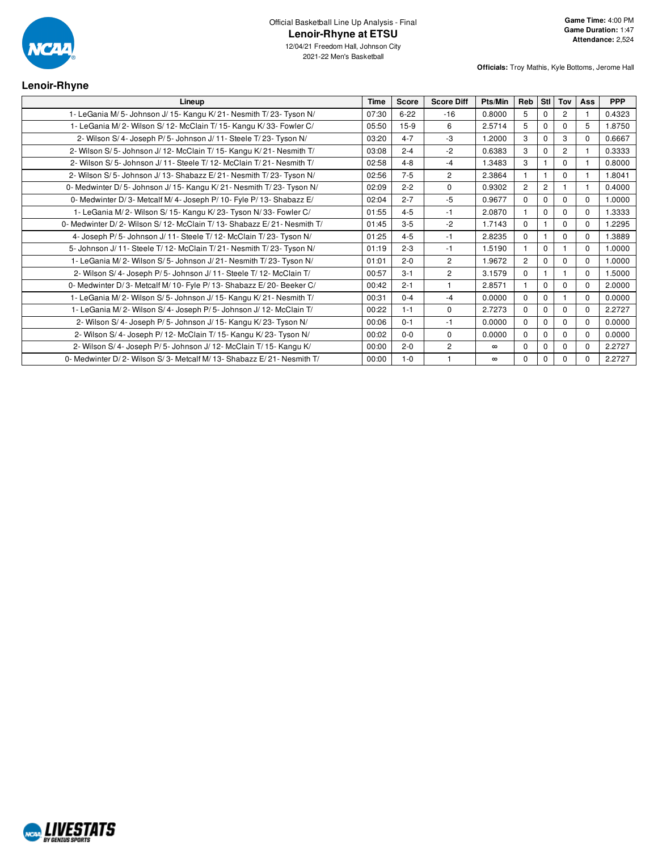

12/04/21 Freedom Hall, Johnson City 2021-22 Men's Basketball

**Officials:** Troy Mathis, Kyle Bottoms, Jerome Hall

## **Lenoir-Rhyne**

| Lineup                                                                | <b>Time</b> | Score    | <b>Score Diff</b> | Pts/Min  | Reb            | Stl I          | Tov            | <b>Ass</b> | <b>PPP</b> |
|-----------------------------------------------------------------------|-------------|----------|-------------------|----------|----------------|----------------|----------------|------------|------------|
| 1- LeGania M/ 5- Johnson J/ 15- Kangu K/ 21- Nesmith T/ 23- Tyson N/  | 07:30       | $6 - 22$ | $-16$             | 0.8000   | 5              |                | $\overline{2}$ |            | 0.4323     |
| 1- LeGania M/2- Wilson S/12- McClain T/15- Kangu K/33- Fowler C/      | 05:50       | $15-9$   | 6                 | 2.5714   | 5              | $\Omega$       | $\Omega$       | 5          | 1.8750     |
| 2- Wilson S/4- Joseph P/5- Johnson J/11- Steele T/23- Tyson N/        | 03:20       | $4 - 7$  | -3                | 1.2000   | 3              | $\Omega$       | 3              | $\Omega$   | 0.6667     |
| 2- Wilson S/5- Johnson J/12- McClain T/15- Kangu K/21- Nesmith T/     | 03:08       | $2 - 4$  | $-2$              | 0.6383   | 3              | $\Omega$       | $\overline{2}$ |            | 0.3333     |
| 2- Wilson S/5- Johnson J/11- Steele T/12- McClain T/21- Nesmith T/    | 02:58       | $4 - 8$  | $-4$              | 1.3483   | 3              |                | $\Omega$       |            | 0.8000     |
| 2- Wilson S/5- Johnson J/13- Shabazz E/21- Nesmith T/23- Tyson N/     | 02:56       | $7 - 5$  | $\overline{2}$    | 2.3864   |                |                | $\Omega$       |            | 1.8041     |
| 0- Medwinter D/5- Johnson J/15- Kangu K/21- Nesmith T/23- Tyson N/    | 02:09       | $2 - 2$  | $\Omega$          | 0.9302   | $\overline{2}$ | $\overline{2}$ |                |            | 0.4000     |
| 0- Medwinter D/3- Metcalf M/4- Joseph P/10- Fyle P/13- Shabazz E/     | 02:04       | $2 - 7$  | -5                | 0.9677   | $\Omega$       | $\Omega$       | $\Omega$       | $\Omega$   | 1.0000     |
| 1- LeGania M/2- Wilson S/15- Kangu K/23- Tyson N/33- Fowler C/        | 01:55       | $4 - 5$  | $-1$              | 2.0870   |                | $\Omega$       | $\Omega$       | $\Omega$   | 1.3333     |
| 0- Medwinter D/2- Wilson S/12- McClain T/13- Shabazz E/21- Nesmith T/ | 01:45       | $3-5$    | $-2$              | 1.7143   | $\Omega$       |                | $\Omega$       | $\Omega$   | 1.2295     |
| 4- Joseph P/5- Johnson J/11- Steele T/12- McClain T/23- Tyson N/      | 01:25       | $4 - 5$  | -1                | 2.8235   | $\Omega$       |                | $\Omega$       | $\Omega$   | 1.3889     |
| 5- Johnson J/11- Steele T/12- McClain T/21- Nesmith T/23- Tyson N/    | 01:19       | $2 - 3$  | $-1$              | 1.5190   |                | $\mathbf 0$    |                | $\Omega$   | 1.0000     |
| 1- LeGania M/2- Wilson S/5- Johnson J/21- Nesmith T/23- Tyson N/      | 01:01       | $2 - 0$  | $\overline{2}$    | 1.9672   | $\overline{2}$ | $\Omega$       | $\Omega$       | $\Omega$   | 1.0000     |
| 2- Wilson S/4- Joseph P/5- Johnson J/11- Steele T/12- McClain T/      | 00:57       | $3 - 1$  | $\overline{2}$    | 3.1579   | $\Omega$       |                |                | $\Omega$   | 1.5000     |
| 0- Medwinter D/3- Metcalf M/10- Fyle P/13- Shabazz E/20- Beeker C/    | 00:42       | $2 - 1$  | $\overline{1}$    | 2.8571   |                | $\Omega$       | $\Omega$       | $\Omega$   | 2.0000     |
| 1- LeGania M/2- Wilson S/5- Johnson J/15- Kangu K/21- Nesmith T/      | 00:31       | $0 - 4$  | $-4$              | 0.0000   | $\Omega$       | $\Omega$       |                | $\Omega$   | 0.0000     |
| 1- LeGania M/2- Wilson S/4- Joseph P/5- Johnson J/12- McClain T/      | 00:22       | $1 - 1$  | 0                 | 2.7273   | $\Omega$       | $\Omega$       | $\Omega$       | $\Omega$   | 2.2727     |
| 2- Wilson S/4- Joseph P/5- Johnson J/15- Kangu K/23- Tyson N/         | 00:06       | $0 - 1$  | $-1$              | 0.0000   | $\Omega$       | $\mathbf 0$    | $\Omega$       | $\Omega$   | 0.0000     |
| 2- Wilson S/4- Joseph P/ 12- McClain T/ 15- Kangu K/ 23- Tyson N/     | 00:02       | $0 - 0$  | $\mathbf 0$       | 0.0000   | $\Omega$       | $\Omega$       | $\Omega$       | $\Omega$   | 0.0000     |
| 2- Wilson S/4- Joseph P/5- Johnson J/12- McClain T/15- Kangu K/       | 00:00       | $2 - 0$  | $\overline{2}$    | $\infty$ | $\Omega$       | $\Omega$       | $\Omega$       | $\Omega$   | 2.2727     |
| 0- Medwinter D/2- Wilson S/3- Metcalf M/13- Shabazz E/21- Nesmith T/  | 00:00       | $1 - 0$  |                   | $\infty$ | $\Omega$       | $\Omega$       | $\Omega$       | 0          | 2.2727     |